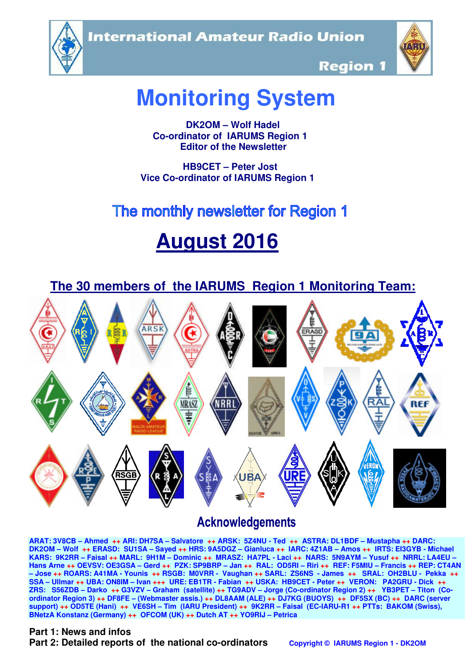**International Amateur Radio Union** 





**Region 1** 

# **Monitoring System**

 **DK2OM – Wolf Hadel Co-ordinator of IARUMS Region 1 Editor of the Newsletter** 

 **HB9CET – Peter Jost Vice Co-ordinator of IARUMS Region 1** 

# The monthly newsletter for Region 1

# **August 2016**



# **Acknowledgements**

**ARAT: 3V8CB – Ahmed ++ ARI: DH7SA – Salvatore ++ ARSK: 5Z4NU - Ted ++ ASTRA: DL1BDF – Mustapha ++ DARC: DK2OM – Wolf ++ ERASD: SU1SA – Sayed ++ HRS: 9A5DGZ – Gianluca ++ IARC: 4Z1AB – Amos ++ IRTS: EI3GYB - Michael KARS: 9K2RR – Faisal ++ MARL: 9H1M – Dominic ++ MRASZ: HA7PL - Laci ++ NARS: 5N9AYM – Yusuf ++ NRRL: LA4EU – Hans Arne ++ OEVSV: OE3GSA – Gerd ++ PZK: SP9BRP – Jan ++ RAL: OD5RI – Riri ++ REF: F5MIU – Francis ++ REP: CT4AN – Jose ++ ROARS: A41MA - Younis ++ RSGB: M0VRR - Vaughan ++ SARL: ZS6NS - James ++ SRAL: OH2BLU - Pekka ++ SSA – Ullmar ++ UBA: ON8IM – Ivan +++ URE: EB1TR - Fabian ++ USKA: HB9CET - Peter ++ VERON: PA2GRU - Dick ++ ZRS: S56ZDB – Darko ++ G3VZV – Graham (satellite) ++ TG9ADV – Jorge (Co-ordinator Region 2) ++ YB3PET – Titon (Coordinator Region 3) ++ DF8FE – (Webmaster assis.) ++ DL8AAM (ALE) ++ DJ7KG (BUOYS) ++ DF5SX (BC) ++ DARC (server support) ++ OD5TE (Hani) ++ VE6SH – Tim (IARU President) ++ 9K2RR – Faisal (EC-IARU-R1 ++ PTTs: BAKOM (Swiss), BNetzA Konstanz (Germany) ++ OFCOM (UK) ++ Dutch AT ++ YO9RIJ – Petrica** 

#### **Part 1: News and infos**

**Part 2: Detailed reports of the national co-ordinators copyright © IARUMS Region 1 - DK2OM**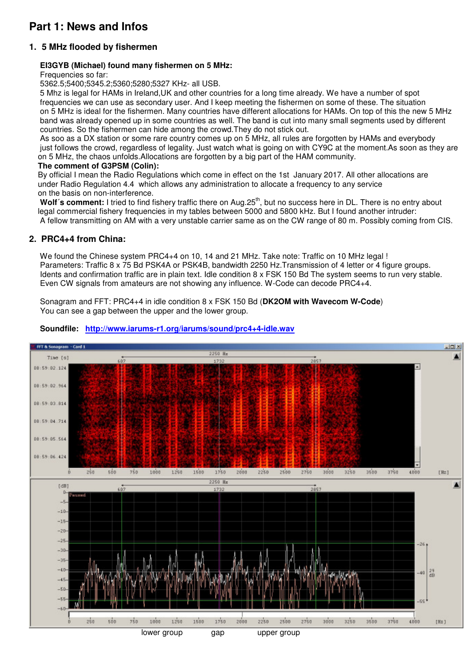## **Part 1: News and Infos**

#### **1. 5 MHz flooded by fishermen**

#### **EI3GYB (Michael) found many fishermen on 5 MHz:**

Frequencies so far:

5362.5;5400;5345.2;5360;5280;5327 KHz- all USB.

 5 Mhz is legal for HAMs in Ireland,UK and other countries for a long time already. We have a number of spot frequencies we can use as secondary user. And I keep meeting the fishermen on some of these. The situation on 5 MHz is ideal for the fishermen. Many countries have different allocations for HAMs. On top of this the new 5 MHz band was already opened up in some countries as well. The band is cut into many small segments used by different countries. So the fishermen can hide among the crowd.They do not stick out.

 As soo as a DX station or some rare country comes up on 5 MHz, all rules are forgotten by HAMs and everybody just follows the crowd, regardless of legality. Just watch what is going on with CY9C at the moment.As soon as they are on 5 MHz, the chaos unfolds.Allocations are forgotten by a big part of the HAM community.

#### **The comment of G3PSM (Colin):**

 By official I mean the Radio Regulations which come in effect on the 1st January 2017. All other allocations are under Radio Regulation 4.4 which allows any administration to allocate a frequency to any service on the basis on non-interference.

Wolf's comment: I tried to find fishery traffic there on Aug.25<sup>th</sup>, but no success here in DL. There is no entry about legal commercial fishery frequencies in my tables between 5000 and 5800 kHz. But I found another intruder: A fellow transmitting on AM with a very unstable carrier same as on the CW range of 80 m. Possibly coming from CIS.

#### **2. PRC4+4 from China:**

 We found the Chinese system PRC4+4 on 10, 14 and 21 MHz. Take note: Traffic on 10 MHz legal ! Parameters: Traffic 8 x 75 Bd PSK4A or PSK4B, bandwidth 2250 Hz. Transmission of 4 letter or 4 figure groups. Idents and confirmation traffic are in plain text. Idle condition 8 x FSK 150 Bd The system seems to run very stable. Even CW signals from amateurs are not showing any influence. W-Code can decode PRC4+4.

 Sonagram and FFT: PRC4+4 in idle condition 8 x FSK 150 Bd (**DK2OM with Wavecom W-Code**) You can see a gap between the upper and the lower group.



#### **Soundfile: http://www.iarums-r1.org/iarums/sound/prc4+4-idle.wav**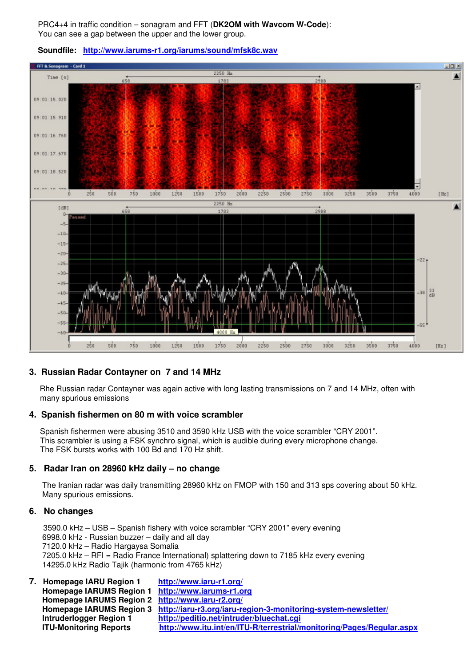PRC4+4 in traffic condition – sonagram and FFT (**DK2OM with Wavcom W-Code**): You can see a gap between the upper and the lower group.



#### **Soundfile: http://www.iarums-r1.org/iarums/sound/mfsk8c.wav**

#### **3. Russian Radar Contayner on 7 and 14 MHz**

 Rhe Russian radar Contayner was again active with long lasting transmissions on 7 and 14 MHz, often with many spurious emissions

#### **4. Spanish fishermen on 80 m with voice scrambler**

 Spanish fishermen were abusing 3510 and 3590 kHz USB with the voice scrambler "CRY 2001". This scrambler is using a FSK synchro signal, which is audible during every microphone change. The FSK bursts works with 100 Bd and 170 Hz shift.

#### **5. Radar Iran on 28960 kHz daily – no change**

 The Iranian radar was daily transmitting 28960 kHz on FMOP with 150 and 313 sps covering about 50 kHz. Many spurious emissions.

#### **6. No changes**

3590.0 kHz – USB – Spanish fishery with voice scrambler "CRY 2001" every evening 6998.0 kHz - Russian buzzer – daily and all day 7120.0 kHz – Radio Hargaysa Somalia 7205.0 kHz – RFI = Radio France International) splattering down to 7185 kHz every evening 14295.0 kHz Radio Tajik (harmonic from 4765 kHz)

| 7. Homepage IARU Region 1                         | http://www.iaru-r1.org/                                                                 |
|---------------------------------------------------|-----------------------------------------------------------------------------------------|
| Homepage IARUMS Region 1 http://www.iarums-r1.org |                                                                                         |
| Homepage IARUMS Region 2 http://www.iaru-r2.org/  |                                                                                         |
|                                                   | Homepage IARUMS Region 3 http://iaru-r3.org/iaru-region-3-monitoring-system-newsletter/ |
| Intruderlogger Region 1                           | http://peditio.net/intruder/bluechat.cgi                                                |
| <b>ITU-Monitoring Reports</b>                     | http://www.itu.int/en/ITU-R/terrestrial/monitoring/Pages/Regular.aspx                   |
|                                                   |                                                                                         |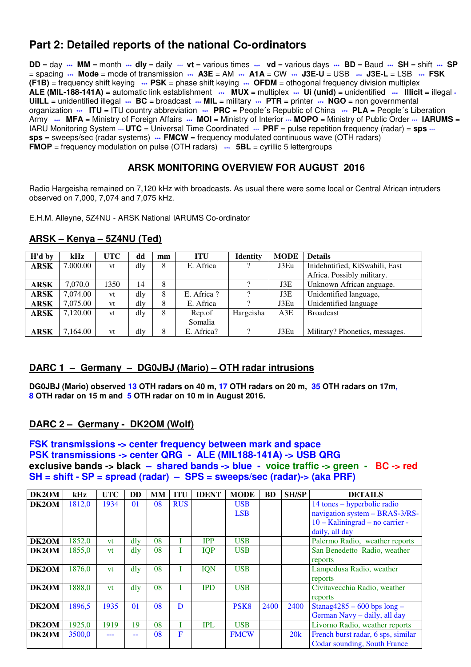## **Part 2: Detailed reports of the national Co-ordinators**

**DD** = day **\*\*\* MM** = month **\*\*\* dly** = daily \*\*\* **vt** = various times **\*\*\* vd** = various days **\*\*\* BD** = Baud **\*\*\* SH** = shift **\*\*\* SP** = spacing **\*\*\* Mode** = mode of transmission **\*\*\* A3E** = AM **\*\*\* A1A** = CW **\*\*\* J3E-U** = USB **\*\*\* J3E-L** = LSB **\*\*\* FSK (F1B)** = frequency shift keying **\*\*\* PSK** = phase shift keying **\*\*\* OFDM** = othogonal frequency division multiplex **ALE (MIL-188-141A)** = automatic link establishment **\*\*\* MUX** = multiplex **\*\*\* Ui (unid)** = unidentified **\*\*\* Illicit** = illegal **\* UiILL** = unidentified illegal **\*\*\* BC** = broadcast **\*\*\* MIL** = military **\*\*\* PTR** = printer **\*\*\* NGO** = non governmental organization **\*\*\* ITU** = ITU country abbreviation **\*\*\* PRC** = People´s Republic of China **\*\*\* PLA** = People´s Liberation Army  $\cdots$  MFA = Ministry of Foreign Affairs  $\cdots$  MOI = Ministry of Interior  $\cdots$  MOPO = Ministry of Public Order  $\cdots$  IARUMS = IARU Monitoring System  $\cdot \cdot \cdot$  **UTC** = Universal Time Coordinated  $\cdot \cdot \cdot$  **PRF** = pulse repetition frequency (radar) = **sps**  $\cdot \cdot \cdot$ **sps** = sweeps/sec (radar systems) **\*\*\* FMCW** = frequency modulated continuous wave (OTH radars) **FMOP** = frequency modulation on pulse (OTH radars)  $\cdots$  **5BL** = cyrillic 5 lettergroups

#### **ARSK MONITORING OVERVIEW FOR AUGUST 2016**

Radio Hargeisha remained on 7,120 kHz with broadcasts. As usual there were some local or Central African intruders observed on 7,000, 7,074 and 7,075 kHz.

E.H.M. Alleyne, 5Z4NU - ARSK National IARUMS Co-ordinator

| H'd by      | kHz      | <b>UTC</b> | dd  | mm | <b>ITU</b> | <b>Identity</b> | <b>MODE</b> | <b>Details</b>                 |
|-------------|----------|------------|-----|----|------------|-----------------|-------------|--------------------------------|
| <b>ARSK</b> | 7.000.00 | vt         | dly | 8  | E. Africa  | $\Omega$        | J3Eu        | Inidehntified, KiSwahili, East |
|             |          |            |     |    |            |                 |             | Africa. Possibly military.     |
| ARSK        | 7.070.0  | 1350       | 14  | 8  |            | റ               | J3E         | Unknown African anguage.       |
| ARSK        | 7,074.00 | vt         | dly | 8  | E. Africa? |                 | J3E         | Unidentified language,         |
| <b>ARSK</b> | 7.075.00 | vt         | dlv | 8  | E. Africa  |                 | J3Eu        | Unidentified language          |
| <b>ARSK</b> | 7,120.00 | vt         | dly | 8  | Rep.of     | Hargeisha       | A3E         | <b>Broadcast</b>               |
|             |          |            |     |    | Somalia    |                 |             |                                |
| ARSK        | 7.164.00 | vt         | dlv | 8  | E. Africa? | റ               | J3Eu        | Military? Phonetics, messages. |

#### **ARSK – Kenya – 5Z4NU (Ted)**

#### **DARC 1 – Germany – DG0JBJ (Mario) – OTH radar intrusions**

**DG0JBJ (Mario) observed 13 OTH radars on 40 m, 17 OTH radars on 20 m, 35 OTH radars on 17m, 8 OTH radar on 15 m and 5 OTH radar on 10 m in August 2016.** 

#### **DARC 2 – Germany - DK2OM (Wolf)**

#### **FSK transmissions -> center frequency between mark and space PSK transmissions -> center QRG - ALE (MIL188-141A) -> USB QRG exclusive bands -> black – shared bands -> blue - voice traffic -> green - BC -> red SH = shift - SP = spread (radar) – SPS = sweeps/sec (radar)-> (aka PRF)**

| DK2OM | kHz    | <b>UTC</b> | DD              | <b>MM</b> | <b>ITU</b> | <b>IDENT</b> | <b>MODE</b>      | <b>BD</b> | <b>SH/SP</b> | <b>DETAILS</b>                     |
|-------|--------|------------|-----------------|-----------|------------|--------------|------------------|-----------|--------------|------------------------------------|
| DK2OM | 1812,0 | 1934       | $\overline{01}$ | 08        | <b>RUS</b> |              | <b>USB</b>       |           |              | 14 tones – hyperbolic radio        |
|       |        |            |                 |           |            |              | <b>LSB</b>       |           |              | navigation system - BRAS-3/RS-     |
|       |        |            |                 |           |            |              |                  |           |              | $10 - Kaliningrad - no carrier -$  |
|       |        |            |                 |           |            |              |                  |           |              | daily, all day                     |
| DK2OM | 1852,0 | vt         | dly             | 08        |            | <b>IPP</b>   | <b>USB</b>       |           |              | Palermo Radio, weather reports     |
| DK2OM | 1855,0 | <b>vt</b>  | $\frac{d}{v}$   | 08        |            | <b>IQP</b>   | <b>USB</b>       |           |              | San Benedetto Radio, weather       |
|       |        |            |                 |           |            |              |                  |           |              | reports                            |
| DK2OM | 1876,0 | <b>vt</b>  | $\mathrm{d}$ ly | 08        |            | <b>IQN</b>   | <b>USB</b>       |           |              | Lampedusa Radio, weather           |
|       |        |            |                 |           |            |              |                  |           |              | reports                            |
| DK2OM | 1888,0 | vt         | dlv             | 08        |            | <b>IPD</b>   | <b>USB</b>       |           |              | Civitavecchia Radio, weather       |
|       |        |            |                 |           |            |              |                  |           |              | reports                            |
| DK2OM | 1896.5 | 1935       | $\overline{01}$ | 08        | D          |              | PSK <sub>8</sub> | 2400      | 2400         | Stanag $4285 - 600$ bps long -     |
|       |        |            |                 |           |            |              |                  |           |              | German Navy - daily, all day       |
| DK2OM | 1925,0 | 1919       | 19              | 08        |            | IPL          | <b>USB</b>       |           |              | Livorno Radio, weather reports     |
| DK2OM | 3500.0 |            | --              | 08        | F          |              | <b>FMCW</b>      |           | 20k          | French burst radar, 6 sps, similar |
|       |        |            |                 |           |            |              |                  |           |              | Codar sounding, South France       |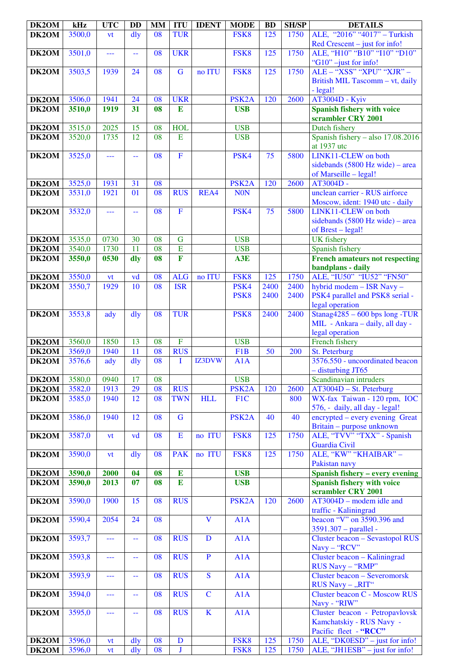| DK2OM | kHz    | <b>UTC</b> | <b>DD</b>                                     | <b>MM</b>       | <b>ITU</b>              | <b>IDENT</b>            | <b>MODE</b>              | <b>BD</b>       | <b>SH/SP</b> | <b>DETAILS</b>                                                 |
|-------|--------|------------|-----------------------------------------------|-----------------|-------------------------|-------------------------|--------------------------|-----------------|--------------|----------------------------------------------------------------|
| DK2OM | 3500,0 | vt         | dly                                           | 08              | <b>TUR</b>              |                         | FSK8                     | 125             | 1750         | ALE, "2016" "4017" - Turkish<br>Red Crescent – just for info!  |
| DK2OM | 3501,0 | ---        | $\mathord{\hspace{1pt}\text{--}\hspace{1pt}}$ | 08              | <b>UKR</b>              |                         | FSK8                     | 125             | 1750         | ALE, "H10" "B10" "I10" "D10"                                   |
| DK2OM | 3503,5 | 1939       | 24                                            | 08              | $\overline{G}$          | no ITU                  | FSK8                     | 125             | 1750         | "G10" -just for info!<br>ALE - "XSS" "XPU" "XJR" -             |
|       |        |            |                                               |                 |                         |                         |                          |                 |              | British MIL Tascomm - vt, daily                                |
|       |        |            |                                               |                 |                         |                         |                          |                 |              | - legal!                                                       |
| DK2OM | 3506,0 | 1941       | 24                                            | 08              | <b>UKR</b>              |                         | PSK <sub>2</sub> A       | 120             | 2600         | <b>AT3004D - Kyiv</b>                                          |
| DK2OM | 3510,0 | 1919       | 31                                            | 08              | E                       |                         | <b>USB</b>               |                 |              | <b>Spanish fishery with voice</b>                              |
|       |        |            |                                               |                 |                         |                         |                          |                 |              | scrambler CRY 2001                                             |
| DK2OM | 3515,0 | 2025       | 15                                            | 08              | <b>HOL</b>              |                         | <b>USB</b>               |                 |              | Dutch fishery                                                  |
| DK2OM | 3520,0 | 1735       | 12                                            | 08              | E                       |                         | <b>USB</b>               |                 |              | Spanish fishery - also $17.08.2016$<br>at 1937 utc             |
| DK2OM | 3525,0 | ---        | 44                                            | 08              | $\mathbf F$             |                         | PSK4                     | 75              | 5800         | LINK11-CLEW on both                                            |
|       |        |            |                                               |                 |                         |                         |                          |                 |              | sidebands $(5800 \text{ Hz wide})$ – area                      |
| DK2OM | 3525,0 | 1931       | 31                                            | 08              |                         |                         | PSK <sub>2</sub> A       | 120             | 2600         | of Marseille - legal!<br>AT3004D -                             |
| DK2OM | 3531,0 | 1921       | 01                                            | 08              | <b>RUS</b>              | REA4                    | <b>NON</b>               |                 |              | unclean carrier - RUS airforce                                 |
|       |        |            |                                               |                 |                         |                         |                          |                 |              | Moscow, ident: 1940 utc - daily                                |
| DK2OM | 3532,0 | ---        | $\equiv$                                      | 08              | $\overline{F}$          |                         | PSK4                     | 75              | 5800         | LINK11-CLEW on both                                            |
|       |        |            |                                               |                 |                         |                         |                          |                 |              | sidebands $(5800 \text{ Hz wide})$ – area                      |
|       |        |            |                                               |                 |                         |                         |                          |                 |              | of Brest - legal!                                              |
| DK2OM | 3535,0 | 0730       | 30                                            | 08              | $\overline{G}$          |                         | <b>USB</b>               |                 |              | <b>UK</b> fishery                                              |
| DK2OM | 3540,0 | 1730       | 11                                            | 08              | $\overline{E}$          |                         | <b>USB</b>               |                 |              | Spanish fishery                                                |
| DK2OM | 3550,0 | 0530       | dly                                           | 08              | $\overline{\mathbf{F}}$ |                         | A3E                      |                 |              | <b>French amateurs not respecting</b>                          |
|       |        |            |                                               |                 |                         |                         |                          |                 |              | bandplans - daily                                              |
| DK2OM | 3550,0 | vt         | vd                                            | 08              | <b>ALG</b>              | no ITU                  | FSK8                     | 125             | 1750         | ALE, "IU50" "IU52" "FN50"                                      |
| DK2OM | 3550,7 | 1929       | 10                                            | 08              | <b>ISR</b>              |                         | PSK4<br>PSK <sub>8</sub> | 2400<br>2400    | 2400<br>2400 | hybrid modem - ISR Navy -<br>PSK4 parallel and PSK8 serial -   |
|       |        |            |                                               |                 |                         |                         |                          |                 |              | legal operation                                                |
| DK2OM | 3553,8 | ady        | dly                                           | 08              | <b>TUR</b>              |                         | PSK <sub>8</sub>         | 2400            | 2400         | Stanag $4285 - 600$ bps long -TUR                              |
|       |        |            |                                               |                 |                         |                         |                          |                 |              | MIL - Ankara - daily, all day -                                |
|       |        |            |                                               |                 |                         |                         |                          |                 |              | legal operation                                                |
| DK2OM | 3560,0 | 1850       | 13                                            | 08              | $\overline{F}$          |                         | <b>USB</b>               |                 |              | French fishery                                                 |
| DK2OM | 3569,0 | 1940       | 11                                            | 08              | <b>RUS</b>              |                         | F <sub>1</sub> B         | $\overline{50}$ | 200          | St. Peterburg                                                  |
| DK2OM | 3576,6 | ady        | $\frac{d}{dy}$                                | 08              | T                       | IZ3DVW                  | A1A                      |                 |              | 3576.550 - uncoordinated beacon                                |
|       |        |            |                                               |                 |                         |                         |                          |                 |              | - disturbing JT65                                              |
| DK2OM | 3580,0 | 0940       | 17                                            | 08              |                         |                         | <b>USB</b>               |                 |              | Scandinavian intruders                                         |
| DK2OM | 3582,0 | 1913       | 29                                            | 08              | <b>RUS</b>              |                         | PSK <sub>2</sub> A       | 120             | 2600         | $AT3004D - St. Peterburg$                                      |
| DK2OM | 3585,0 | 1940       | 12                                            | 08              | <b>TWN</b>              | <b>HLL</b>              | F1C                      |                 | 800          | WX-fax Taiwan - 120 rpm, IOC<br>576, - daily, all day - legal! |
| DK2OM | 3586,0 | 1940       | 12                                            | 08              | $\mathbf G$             |                         | PSK <sub>2</sub> A       | 40              | 40           | encrypted – every evening Great                                |
|       |        |            |                                               |                 |                         |                         |                          |                 |              | Britain - purpose unknown                                      |
| DK2OM | 3587,0 | vt         | vd                                            | 08              | $\mathbf E$             | no ITU                  | FSK8                     | 125             | 1750         | ALE, "TVV" "TXX" - Spanish                                     |
|       |        |            |                                               |                 |                         |                         |                          |                 |              | Guardia Civil                                                  |
| DK2OM | 3590,0 | vt         | dly                                           | 08              | <b>PAK</b>              | no ITU                  | FSK8                     | 125             | 1750         | ALE, "KW" "KHAIBAR" -                                          |
|       |        |            |                                               |                 |                         |                         |                          |                 |              | Pakistan navy                                                  |
| DK2OM | 3590,0 | 2000       | 04                                            | 08              | E                       |                         | <b>USB</b>               |                 |              | <b>Spanish fishery - every evening</b>                         |
| DK2OM | 3590,0 | 2013       | 07                                            | 08              | E                       |                         | <b>USB</b>               |                 |              | <b>Spanish fishery with voice</b><br>scrambler CRY 2001        |
| DK2OM | 3590,0 | 1900       | 15                                            | 08              | <b>RUS</b>              |                         | PSK <sub>2</sub> A       | 120             | 2600         | $AT3004D$ – modem idle and                                     |
|       |        |            |                                               |                 |                         |                         |                          |                 |              | traffic - Kaliningrad                                          |
| DK2OM | 3590,4 | 2054       | 24                                            | 08              |                         | $\overline{\mathbf{V}}$ | A1A                      |                 |              | beacon "V" on 3590.396 and                                     |
|       |        |            |                                               |                 |                         |                         |                          |                 |              | 3591.307 - parallel -                                          |
| DK2OM | 3593,7 | ---        | 44                                            | 08              | <b>RUS</b>              | $\mathbf D$             | A1A                      |                 |              | Cluster beacon - Sevastopol RUS                                |
|       |        |            |                                               |                 |                         |                         |                          |                 |              | Navy - "RCV"                                                   |
| DK2OM | 3593,8 | ---        | 44                                            | $\overline{08}$ | <b>RUS</b>              | $\overline{P}$          | A1A                      |                 |              | Cluster beacon - Kaliningrad                                   |
|       |        |            |                                               |                 |                         |                         |                          |                 |              | RUS Navy - "RMP"                                               |
| DK2OM | 3593,9 | ---        | 44                                            | 08              | <b>RUS</b>              | S                       | A1A                      |                 |              | Cluster beacon - Severomorsk                                   |
| DK2OM | 3594,0 |            | $\mathord{\hspace{1pt}\text{--}\hspace{1pt}}$ | 08              | <b>RUS</b>              | $\mathbf C$             | A1A                      |                 |              | RUS Navy - "RIT"<br><b>Cluster beacon C - Moscow RUS</b>       |
|       |        | ---        |                                               |                 |                         |                         |                          |                 |              | Navy - "RIW"                                                   |
| DK2OM | 3595,0 | ---        | 44                                            | 08              | <b>RUS</b>              | $\overline{\mathbf{K}}$ | A1A                      |                 |              | Cluster beacon - Petropavlovsk                                 |
|       |        |            |                                               |                 |                         |                         |                          |                 |              | Kamchatskiy - RUS Navy -                                       |
|       |        |            |                                               |                 |                         |                         |                          |                 |              | Pacific fleet - "RCC"                                          |
| DK2OM | 3596,0 | vt         | $\frac{d}{dy}$                                | 08              | $\mathbf D$             |                         | FSK8                     | 125             | 1750         | ALE, " $DK0ESD"$ – just for info!                              |
| DK2OM | 3596,0 | vt         | $\frac{d}{dy}$                                | 08              | $\mathbf{J}$            |                         | FSK8                     | 125             | 1750         | ALE, "JH1ESB" - just for info!                                 |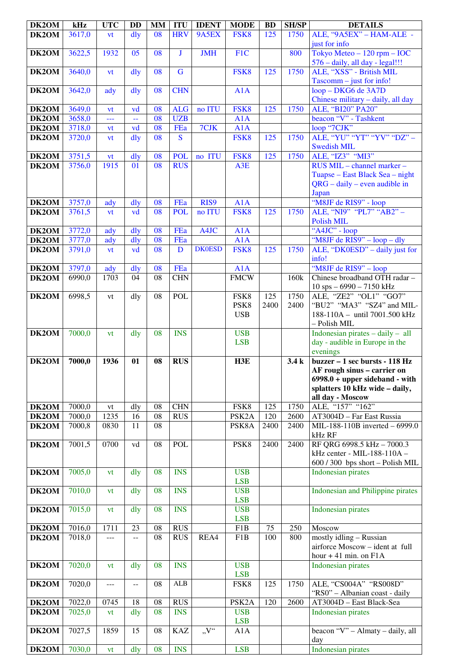| DK2OM          | kHz              | <b>UTC</b>       | <b>DD</b>      | <b>MM</b>       | <b>ITU</b>              | <b>IDENT</b>     | <b>MODE</b>                | <b>BD</b>   | <b>SH/SP</b> | <b>DETAILS</b>                                                                                                                                          |
|----------------|------------------|------------------|----------------|-----------------|-------------------------|------------------|----------------------------|-------------|--------------|---------------------------------------------------------------------------------------------------------------------------------------------------------|
| DK2OM          | 3617,0           | vt               | $\overline{d}$ | $\overline{08}$ | <b>HRV</b>              | 9A5EX            | FSK8                       | 125         | 1750         | ALE, "9A5EX" - HAM-ALE -<br>just for info                                                                                                               |
| DK2OM          | 3622,5           | 1932             | 05             | 08              | J                       | <b>JMH</b>       | F1C                        |             | 800          | Tokyo Meteo $-120$ rpm $-$ IOC<br>576 - daily, all day - legal!!!                                                                                       |
| DK2OM          | 3640,0           | vt               | dly            | 08              | $\mathbf G$             |                  | FSK8                       | 125         | 1750         | ALE, "XSS" - British MIL<br>$Tascomm - just for info!$                                                                                                  |
| DK2OM          | 3642,0           | ady              | $\frac{d}{dy}$ | 08              | <b>CHN</b>              |                  | A1A                        |             |              | loop - DKG6 de 3A7D                                                                                                                                     |
| DK2OM          | 3649,0           | vt               | vd             | 08              | <b>ALG</b>              | no ITU           | FSK8                       | 125         | 1750         | Chinese military - daily, all day<br>ALE, "BI20" PA20"                                                                                                  |
| DK2OM          | 3658,0           | ---              | $\perp$        | 08              | <b>UZB</b>              |                  | A1A                        |             |              | beacon "V" - Tashkent                                                                                                                                   |
| DK2OM          | 3718,0           | <b>vt</b>        | vd             | 08              | FEa                     | 7CJK             | A1A                        |             |              | loop "7CJK"                                                                                                                                             |
| DK2OM          | 3720,0           | vt               | $\frac{d}{dy}$ | 08              | $\overline{\mathbf{S}}$ |                  | FSK8                       | 125         | 1750         | ALE, "YU" "YT" "YV" "DZ" -<br><b>Swedish MIL</b>                                                                                                        |
| DK2OM          | 3751,5           | vt               | $\frac{d}{dy}$ | 08              | <b>POL</b>              | no ITU           | FSK8                       | 125         | 1750         | ALE, "IZ3" "MI3"                                                                                                                                        |
| DK2OM          | 3756,0           | 1915             | 01             | 08              | <b>RUS</b>              |                  | A3E                        |             |              | RUS MIL - channel marker -<br>Tuapse – East Black Sea – night<br>$QRG - daily - even$ audible in<br>Japan                                               |
| DK2OM          | 3757,0           | ady              | $\frac{d}{dy}$ | 08              | FEa                     | RIS9             | A1A                        |             |              | "M8JF de RIS9" - loop                                                                                                                                   |
| DK2OM          | 3761,5           | vt               | vd             | 08              | <b>POL</b>              | no ITU           | FSK8                       | 125         | 1750         | ALE, "NI9" "PL7" "AB2" -<br><b>Polish MIL</b>                                                                                                           |
| DK2OM          | 3772,0           | ady              | $\frac{d}{dy}$ | 08              | FEa                     | A4JC             | A1A                        |             |              | "A4JC" - loop                                                                                                                                           |
| DK2OM<br>DK2OM | 3777,0<br>3791,0 | ady<br><b>vt</b> | dly<br>vd      | 08<br>08        | FEa<br>D                | <b>DK0ESD</b>    | A1A<br>FSK8                | 125         | 1750         | "M8JF de RIS9" - loop - dly<br>ALE, "DK0ESD" – daily just for<br>info!                                                                                  |
| DK2OM          | 3797,0           | ady              | $\frac{d}{dy}$ | 08              | FEa                     |                  | A1A                        |             |              | "M8JF de RIS9" - loop                                                                                                                                   |
| DK2OM          | 6990,0           | 1703             | 04             | 08              | <b>CHN</b>              |                  | <b>FMCW</b>                |             | 160k         | Chinese broadband OTH radar -<br>$10$ sps $-6990 - 7150$ kHz                                                                                            |
| DK2OM          | 6998,5           | vt               | dly            | 08              | POL                     |                  | FSK8<br>PSK8<br><b>USB</b> | 125<br>2400 | 1750<br>2400 | ALE, "ZE2" "OL1" "GO7"<br>"BU2" "MA3" "SZ4" and MIL-<br>188-110A - until 7001.500 kHz<br>- Polish MIL                                                   |
| DK2OM          | 7000,0           | vt               | dly            | 08              | <b>INS</b>              |                  | <b>USB</b><br><b>LSB</b>   |             |              | Indonesian pirates $-$ daily $-$ all<br>day - audible in Europe in the<br>evenings                                                                      |
| DK2OM          | 7000,0           | 1936             | 01             | 08              | <b>RUS</b>              |                  | H3E                        |             | 3.4k         | buzzer - 1 sec bursts - 118 Hz<br>AF rough sinus - carrier on<br>$6998.0 + upper sideband - with$<br>splatters 10 kHz wide - daily,<br>all day - Moscow |
| DK2OM          | 7000,0           | vt               | dly            | 08              | <b>CHN</b>              |                  | FSK8                       | 125         | 1750         | ALE, "157" "162"                                                                                                                                        |
| DK2OM          | 7000,0           | 1235             | 16             | 08              | <b>RUS</b>              |                  | PSK <sub>2</sub> A         | 120         | 2600         | AT3004D - Far East Russia                                                                                                                               |
| DK2OM          | 7000,8           | 0830             | 11             | 08              |                         |                  | PSK8A                      | 2400        | 2400         | MIL-188-110B inverted - 6999.0<br>kHz RF                                                                                                                |
| DK2OM          | 7001,5           | 0700             | vd             | 08              | <b>POL</b>              |                  | PSK8                       | 2400        | 2400         | RF QRG 6998.5 kHz - 7000.3<br>kHz center - MIL-188-110A -<br>600 / 300 bps short - Polish MIL                                                           |
| DK2OM          | 7005,0           | vt               | dly            | 08              | <b>INS</b>              |                  | <b>USB</b><br><b>LSB</b>   |             |              | Indonesian pirates                                                                                                                                      |
| DK2OM          | 7010,0           | vt               | dly            | 08              | <b>INS</b>              |                  | <b>USB</b><br><b>LSB</b>   |             |              | Indonesian and Philippine pirates                                                                                                                       |
| DK2OM          | 7015,0           | <b>vt</b>        | dly            | 08              | <b>INS</b>              |                  | <b>USB</b><br><b>LSB</b>   |             |              | <b>Indonesian pirates</b>                                                                                                                               |
| DK2OM          | 7016,0           | 1711             | 23             | 08              | <b>RUS</b>              |                  | F1B                        | 75          | 250          | Moscow                                                                                                                                                  |
| DK2OM          | 7018,0           | $---$            | $\overline{a}$ | 08              | <b>RUS</b>              | REA4             | F1B                        | 100         | 800          | mostly idling - Russian<br>airforce Moscow - ident at full<br>hour $+41$ min. on $F1A$                                                                  |
| DK2OM          | 7020,0           | vt               | dly            | 08              | <b>INS</b>              |                  | <b>USB</b><br><b>LSB</b>   |             |              | <b>Indonesian pirates</b>                                                                                                                               |
| DK2OM          | 7020,0           | ---              | $\overline{a}$ | 08              | <b>ALB</b>              |                  | FSK8                       | 125         | 1750         | ALE, "CS004A" "RS008D"<br>"RS0" - Albanian coast - daily                                                                                                |
| DK2OM          | 7022,0           | 0745             | 18             | 08              | <b>RUS</b>              |                  | PSK <sub>2</sub> A         | 120         | 2600         | AT3004D - East Black-Sea                                                                                                                                |
| DK2OM          | 7025,0           | vt               | dly            | 08              | <b>INS</b>              |                  | <b>USB</b><br><b>LSB</b>   |             |              | Indonesian pirates                                                                                                                                      |
| DK2OM          | 7027,5           | 1859             | 15             | 08              | <b>KAZ</b>              | $\overline{N''}$ | A1A                        |             |              | beacon "V" - Almaty - daily, all<br>day                                                                                                                 |
| DK2OM          | 7030,0           | vt               | dly            | 08              | <b>INS</b>              |                  | <b>LSB</b>                 |             |              | <b>Indonesian pirates</b>                                                                                                                               |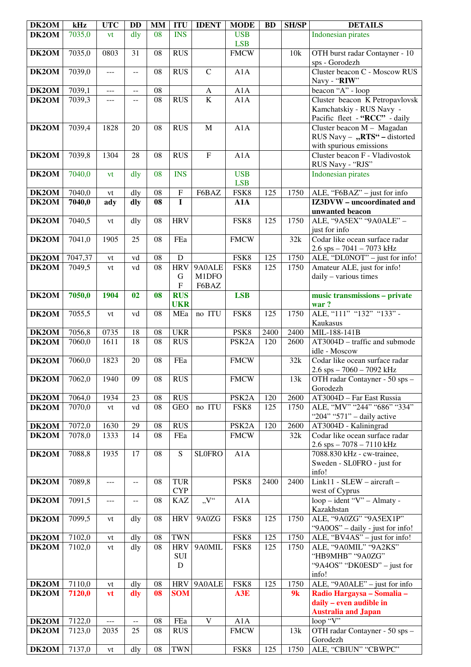| DK2OM | kHz     | <b>UTC</b>    | <b>DD</b>                                     | <b>MM</b>       | <b>ITU</b>                               | <b>IDENT</b>             | <b>MODE</b>              | <b>BD</b>        | <b>SH/SP</b> | <b>DETAILS</b>                                                    |
|-------|---------|---------------|-----------------------------------------------|-----------------|------------------------------------------|--------------------------|--------------------------|------------------|--------------|-------------------------------------------------------------------|
| DK2OM | 7035,0  | vt            | dly                                           | 08              | <b>INS</b>                               |                          | <b>USB</b><br><b>LSB</b> |                  |              | <b>Indonesian pirates</b>                                         |
| DK2OM | 7035,0  | 0803          | 31                                            | 08              | <b>RUS</b>                               |                          | FMCW                     |                  | 10k          | OTH burst radar Contayner - 10<br>sps - Gorodezh                  |
| DK2OM | 7039,0  | $ -$          | $\overline{a}$                                | 08              | <b>RUS</b>                               | $\mathbf C$              | A1A                      |                  |              | Cluster beacon C - Moscow RUS<br>Navy - "RIW"                     |
| DK2OM | 7039,1  | $ -$          | $\overline{\phantom{m}}$                      | 08              |                                          | $\mathbf{A}$             | A1A                      |                  |              | beacon "A" - loop                                                 |
| DK2OM | 7039,3  | ---           | $-$                                           | $\overline{08}$ | <b>RUS</b>                               | $\overline{\mathbf{K}}$  | A1A                      |                  |              | Cluster beacon K Petropavlovsk                                    |
|       |         |               |                                               |                 |                                          |                          |                          |                  |              | Kamchatskiy - RUS Navy -<br>Pacific fleet - "RCC" - daily         |
| DK2OM | 7039,4  | 1828          | 20                                            | 08              | <b>RUS</b>                               | M                        | A1A                      |                  |              | Cluster beacon M - Magadan                                        |
|       |         |               |                                               |                 |                                          |                          |                          |                  |              | RUS Navy - "RTS" - distorted<br>with spurious emissions           |
| DK2OM | 7039,8  | 1304          | 28                                            | 08              | <b>RUS</b>                               | $\mathbf F$              | A1A                      |                  |              | Cluster beacon F - Vladivostok<br>RUS Navy - "RJS"                |
| DK2OM | 7040,0  | vt            | dly                                           | 08              | <b>INS</b>                               |                          | <b>USB</b><br><b>LSB</b> |                  |              | <b>Indonesian pirates</b>                                         |
| DK2OM | 7040,0  | vt            | dly                                           | 08              | $\overline{F}$                           | F6BAZ                    | FSK8                     | 125              | 1750         | ALE, "F6BAZ" - just for info                                      |
| DK2OM | 7040,0  | ady           | dly                                           | 08              | $\mathbf I$                              |                          | A1A                      |                  |              | IZ3DVW - uncoordinated and                                        |
|       |         |               |                                               |                 |                                          |                          |                          |                  |              | unwanted beacon                                                   |
| DK2OM | 7040,5  | vt            | dly                                           | 08              | <b>HRV</b>                               |                          | FSK8                     | 125              | 1750         | ALE, "9A5EX" "9A0ALE" -<br>just for info                          |
| DK2OM | 7041,0  | 1905          | 25                                            | 08              | FEa                                      |                          | <b>FMCW</b>              |                  | 32k          | Codar like ocean surface radar<br>$2.6$ sps $-7041 - 7073$ kHz    |
| DK2OM | 7047,37 | vt            | vd                                            | $\overline{08}$ | $\overline{D}$                           |                          | FSK8                     | 125              | 1750         | ALE, "DL0NOT" - just for info!                                    |
| DK2OM | 7049,5  | vt            | vd                                            | $\overline{08}$ | <b>HRV</b><br>$\mathbf G$<br>$\mathbf F$ | 9A0ALE<br>M1DFO<br>F6BAZ | FSK8                     | $\overline{125}$ | 1750         | Amateur ALE, just for info!<br>daily - various times              |
| DK2OM | 7050,0  | 1904          | 02                                            | 08              | <b>RUS</b><br><b>UKR</b>                 |                          | <b>LSB</b>               |                  |              | music transmissions - private<br>war?                             |
| DK2OM | 7055,5  | vt            | vd                                            | 08              | MEa                                      | no ITU                   | FSK8                     | 125              | 1750         | ALE, "111" "132" "133" -<br>Kaukasus                              |
| DK2OM | 7056,8  | 0735          | 18                                            | 08              | <b>UKR</b>                               |                          | PSK8                     | 2400             | 2400         | MIL-188-141B                                                      |
| DK2OM | 7060,0  | 1611          | 18                                            | 08              | <b>RUS</b>                               |                          | PSK <sub>2</sub> A       | 120              | 2600         | AT3004D - traffic and submode<br>idle - Moscow                    |
| DK2OM | 7060,0  | 1823          | 20                                            | 08              | FEa                                      |                          | <b>FMCW</b>              |                  | 32k          | Codar like ocean surface radar<br>$2.6$ sps $-7060 - 7092$ kHz    |
| DK2OM | 7062,0  | 1940          | 09                                            | 08              | <b>RUS</b>                               |                          | <b>FMCW</b>              |                  | 13k          | OTH radar Contayner - 50 sps -<br>Gorodezh                        |
| DK2OM | 7064,0  | 1934          | 23                                            | 08              | <b>RUS</b>                               |                          | PSK <sub>2</sub> A       | 120              | 2600         | AT3004D - Far East Russia                                         |
| DK2OM | 7070,0  | vt            | vd                                            | 08              | <b>GEO</b>                               | no ITU                   | FSK8                     | 125              | 1750         | ALE, "MV" "244" "686" "334"<br>" $204$ " " $571$ " – daily active |
| DK2OM | 7072,0  | 1630          | 29                                            | 08              | <b>RUS</b>                               |                          | PSK <sub>2</sub> A       | 120              | 2600         | AT3004D - Kaliningrad                                             |
| DK2OM | 7078,0  | 1333          | 14                                            | 08              | FEa                                      |                          | <b>FMCW</b>              |                  | 32k          | Codar like ocean surface radar<br>$2.6$ sps $-7078 - 7110$ kHz    |
| DK2OM | 7088,8  | 1935          | 17                                            | 08              | ${\bf S}$                                | <b>SLOFRO</b>            | A1A                      |                  |              | 7088.830 kHz - cw-trainee,                                        |
|       |         |               |                                               |                 |                                          |                          |                          |                  |              | Sweden - SL0FRO - just for<br>info!                               |
| DK2OM | 7089,8  | $---$         | $\mathord{\hspace{1pt}\text{--}\hspace{1pt}}$ | 08              | <b>TUR</b><br><b>CYP</b>                 |                          | PSK8                     | 2400             | 2400         | $Link11 - SLEW - aircraft -$<br>west of Cyprus                    |
| DK2OM | 7091,5  | ---           | $\overline{a}$                                | 08              | <b>KAZ</b>                               | "V"                      | A1A                      |                  |              | $loop$ – ident "V" – Almaty -<br>Kazakhstan                       |
| DK2OM | 7099,5  | vt            | dly                                           | 08              | <b>HRV</b>                               | 9A0ZG                    | FSK8                     | 125              | 1750         | ALE, "9A0ZG" "9A5EX1P"<br>"9A0OS" – daily - just for info!        |
| DK2OM | 7102,0  | vt            | dly                                           | 08              | <b>TWN</b>                               |                          | FSK8                     | 125              | 1750         | ALE, "BV4AS" – just for info!                                     |
| DK2OM | 7102,0  | vt            | dly                                           | 08              | <b>HRV</b>                               | 9A0MIL                   | FSK8                     | 125              | 1750         | ALE, "9A0MIL" "9A2KS"                                             |
|       |         |               |                                               |                 | <b>SUI</b><br>${\bf D}$                  |                          |                          |                  |              | "HB9MHB" "9A0ZG"<br>"9A4OS" "DK0ESD" – just for<br>info!          |
| DK2OM | 7110,0  | vt            | dly                                           | 08              |                                          | HRV   9A0ALE             | FSK8                     | 125              | 1750         | ALE, "9A0ALE" $-$ just for info                                   |
| DK2OM | 7120,0  | vt            | dly                                           | 08              | <b>SOM</b>                               |                          | A3E                      |                  | 9k           | Radio Hargaysa - Somalia -                                        |
|       |         |               |                                               |                 |                                          |                          |                          |                  |              | daily - even audible in                                           |
|       |         |               |                                               |                 |                                          |                          |                          |                  |              | <b>Australia and Japan</b>                                        |
| DK2OM | 7122,0  | $\cdots$      | $\mathord{\hspace{1pt}\text{--}\hspace{1pt}}$ | 08              | FEa                                      | $\mathbf V$              | A1A                      |                  |              | loop "V"                                                          |
| DK2OM | 7123,0  | 2035          | 25                                            | 08              | <b>RUS</b>                               |                          | <b>FMCW</b>              |                  | 13k          | OTH radar Contayner - 50 sps -<br>Gorodezh                        |
| DK2OM | 7137,0  | $\mathrm{vt}$ | dly                                           | 08              | <b>TWN</b>                               |                          | FSK8                     | 125              | 1750         | ALE, "CBIUN" "CBWPC"                                              |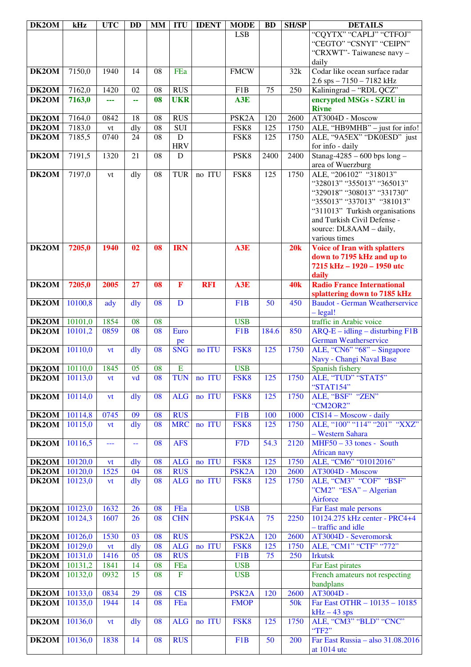| DK2OM              | kHz                  | <b>UTC</b> | <b>DD</b>      | <b>MM</b>       | <b>ITU</b>     | <b>IDENT</b> | <b>MODE</b>        | <b>BD</b> | <b>SH/SP</b> | <b>DETAILS</b>                                                |
|--------------------|----------------------|------------|----------------|-----------------|----------------|--------------|--------------------|-----------|--------------|---------------------------------------------------------------|
|                    |                      |            |                |                 |                |              | <b>LSB</b>         |           |              | "CQYTX" "CAPLJ" "CTFOJ"                                       |
|                    |                      |            |                |                 |                |              |                    |           |              | "CEGTO" "CSNYI" "CEIPN"                                       |
|                    |                      |            |                |                 |                |              |                    |           |              | "CRXWT"-Taiwanese navy -                                      |
|                    |                      |            |                |                 |                |              |                    |           |              | daily                                                         |
| DK2OM              | 7150,0               | 1940       | 14             | 08              | FEa            |              | <b>FMCW</b>        |           | 32k          | Codar like ocean surface radar                                |
|                    |                      |            |                |                 |                |              |                    |           |              | 2.6 sps - 7150 - 7182 kHz                                     |
| DK2OM              | 7162,0               | 1420       | 02             | 08              | <b>RUS</b>     |              | F1B                | 75        | 250          | Kaliningrad - "RDL QCZ"                                       |
| DK2OM              | 7163,0               | ---        | 44             | 08              | <b>UKR</b>     |              | A3E                |           |              | encrypted MSGs - SZRU in                                      |
|                    |                      |            |                |                 |                |              |                    |           |              | <b>Rivne</b>                                                  |
| DK <sub>2</sub> OM | 7164,0               | 0842       | 18             | 08              | <b>RUS</b>     |              | PSK <sub>2</sub> A | 120       | 2600         | AT3004D - Moscow                                              |
| $\overline{DK2OM}$ | 7183,0               | ${\it vt}$ | dly            | 08              | <b>SUI</b>     |              | FSK8               | 125       | 1750         | ALE, "HB9MHB" - just for info!                                |
| DK2OM              | 7185,5               | 0740       | 24             | 08              | $\mathbf D$    |              | FSK8               | 125       | 1750         | ALE, "9A5EX" "DK0ESD" just                                    |
|                    |                      |            |                |                 | <b>HRV</b>     |              |                    |           |              | for info - daily                                              |
| DK2OM              | 7191,5               | 1320       | 21             | 08              | D              |              | PSK8               | 2400      | 2400         | Stanag-4285 - 600 bps $long -$                                |
|                    |                      |            |                |                 |                |              |                    |           |              | area of Wuerzburg                                             |
| DK2OM              | 7197,0               | vt         | dly            | 08              | <b>TUR</b>     | no ITU       | FSK8               | 125       | 1750         | ALE, "206102" "318013"                                        |
|                    |                      |            |                |                 |                |              |                    |           |              | "328013" "355013" "365013"                                    |
|                    |                      |            |                |                 |                |              |                    |           |              | "329018" "308013" "331730"                                    |
|                    |                      |            |                |                 |                |              |                    |           |              | "355013" "337013" "381013"                                    |
|                    |                      |            |                |                 |                |              |                    |           |              | "311013" Turkish organisations<br>and Turkish Civil Defense - |
|                    |                      |            |                |                 |                |              |                    |           |              |                                                               |
|                    |                      |            |                |                 |                |              |                    |           |              | source: DL8AAM - daily,<br>various times                      |
| DK2OM              | 7205,0               | 1940       | 02             | 08              | <b>IRN</b>     |              | A3E                |           | 20k          | <b>Voice of Iran with splatters</b>                           |
|                    |                      |            |                |                 |                |              |                    |           |              | down to 7195 kHz and up to                                    |
|                    |                      |            |                |                 |                |              |                    |           |              | 7215 kHz - 1920 - 1950 utc                                    |
|                    |                      |            |                |                 |                |              |                    |           |              | daily                                                         |
| DK2OM              | 7205,0               | 2005       | 27             | 08              | $\mathbf{F}$   | <b>RFI</b>   | A3E                |           | <b>40k</b>   | <b>Radio France International</b>                             |
|                    |                      |            |                |                 |                |              |                    |           |              | splattering down to 7185 kHz                                  |
| DK2OM              | 10100,8              | ady        | dly            | 08              | D              |              | F <sub>1</sub> B   | 50        | 450          | <b>Baudot - German Weatherservice</b>                         |
|                    |                      |            |                |                 |                |              |                    |           |              | $-\text{legal!}$                                              |
| DK2OM              | 10101,0              | 1854       | 08             | 08              |                |              | <b>USB</b>         |           |              | traffic in Arabic voice                                       |
| DK2OM              | 10101,2              | 0859       | 08             | 08              | Euro           |              | F <sub>1</sub> B   | 184.6     | 850          | $ARQ-E - idling - disturbing F1B$                             |
|                    |                      |            |                |                 | pe             |              |                    |           |              | <b>German Weatherservice</b>                                  |
| DK2OM              | 10110,0              | vt         | dly            | 08              | <b>SNG</b>     | no ITU       | FSK8               | 125       | 1750         | ALE, "CN6" "68" - Singapore                                   |
|                    |                      |            |                |                 |                |              |                    |           |              | Navy - Changi Naval Base                                      |
| DK2OM              | 10110,0              | 1845       | 05             | 08              | E              |              | <b>USB</b>         |           |              | Spanish fishery                                               |
| DK2OM              | 10113,0              | vt         | vd             | 08              | <b>TUN</b>     | no ITU       | FSK8               | 125       | 1750         | ALE, "TUD" "STAT5"                                            |
|                    |                      |            |                |                 |                |              |                    |           |              | "STAT154"                                                     |
| DK2OM              | 10114,0              | vt         | $\frac{d}{dy}$ | 08              | <b>ALG</b>     | no ITU       | FSK8               | 125       | 1750         | ALE, "BSF" "ZEN"                                              |
|                    |                      |            |                |                 |                |              |                    |           |              | "CM2OR2"                                                      |
| DK2OM              | $10114,\overline{8}$ | 0745       | 09             | 08              | <b>RUS</b>     |              | F <sub>1</sub> B   | 100       | 1000         | $CIS14 - Moscow - daily$                                      |
| DK2OM              | 10115,0              | vt         | dly            | 08              | <b>MRC</b>     | no ITU       | FSK8               | 125       | 1750         | ALE, "100" "114" "201" "XXZ"                                  |
|                    |                      |            |                |                 |                |              |                    |           |              | - Western Sahara                                              |
| DK2OM              | 10116,5              | ---        | 44             | 08              | <b>AFS</b>     |              | F <sub>7</sub> D   | 54.3      | 2120         | $MHF50 - 33$ tones - South                                    |
|                    |                      |            |                |                 |                |              |                    |           |              | African navy                                                  |
| DK2OM              | 10120,0              | vt         | $\frac{d}{dy}$ | 08              | <b>ALG</b>     | no ITU       | FSK8               | 125       | 1750         | ALE, "CM6" "01012016"                                         |
| DK2OM              | 10120,0              | 1525       | 04             | $\overline{08}$ | <b>RUS</b>     |              | PSK <sub>2</sub> A | 120       | 2600         | AT3004D - Moscow<br>ALE, "CM3" "COF" "BSF"                    |
| DK2OM              | 10123,0              | vt         | $\frac{d}{dy}$ | 08              | <b>ALG</b>     | no ITU       | FSK8               | 125       | 1750         |                                                               |
|                    |                      |            |                |                 |                |              |                    |           |              | "CM2" "ESA" - Algerian                                        |
| DK2OM              | 10123,0              | 1632       | 26             | 08              | FEa            |              | <b>USB</b>         |           |              | Airforce<br>Far East male persons                             |
| DK2OM              | 10124,3              | 1607       | 26             | 08              | <b>CHN</b>     |              | PSK4A              | 75        | 2250         | 10124.275 kHz center - PRC4+4                                 |
|                    |                      |            |                |                 |                |              |                    |           |              | - traffic and idle                                            |
| DK2OM              | 10126,0              | 1530       | 03             | 08              | <b>RUS</b>     |              | PSK <sub>2</sub> A | 120       | 2600         | AT3004D - Severomorsk                                         |
| DK2OM              | 10129,0              | vt         | dly            | 08              | <b>ALG</b>     | no ITU       | FSK8               | 125       | 1750         | ALE, "CM1" "CTF" "772"                                        |
| DK2OM              | 10131,0              | 1416       | 05             | 08              | <b>RUS</b>     |              | F1B                | 75        | 250          | <b>Irkutsk</b>                                                |
| DK2OM              | 10131,2              | 1841       | 14             | 08              | FEa            |              | <b>USB</b>         |           |              | Far East pirates                                              |
| DK2OM              | 10132,0              | 0932       | 15             | 08              | $\overline{F}$ |              | <b>USB</b>         |           |              | French amateurs not respecting                                |
|                    |                      |            |                |                 |                |              |                    |           |              | bandplans                                                     |
| DK2OM              | 10133,0              | 0834       | 29             | 08              | <b>CIS</b>     |              | PSK <sub>2</sub> A | 120       | 2600         | AT3004D -                                                     |
| DK2OM              | 10135,0              | 1944       | 14             | 08              | FEa            |              | <b>FMOP</b>        |           | 50k          | Far East OTHR - 10135 - 10185                                 |
|                    |                      |            |                |                 |                |              |                    |           |              | $kHz - 43$ sps                                                |
| DK2OM              | 10136,0              | <b>vt</b>  | dly            | 08              | <b>ALG</b>     | no ITU       | FSK8               | 125       | 1750         | ALE, "CM3" "BLD" "CNC"                                        |
|                    |                      |            |                |                 |                |              |                    |           |              | "TF2"                                                         |
| DK2OM              | 10136,0              | 1838       | 14             | 08              | <b>RUS</b>     |              | F1B                | 50        | 200          | Far East Russia – also $31.\overline{08.2016}$                |
|                    |                      |            |                |                 |                |              |                    |           |              | at 1014 utc                                                   |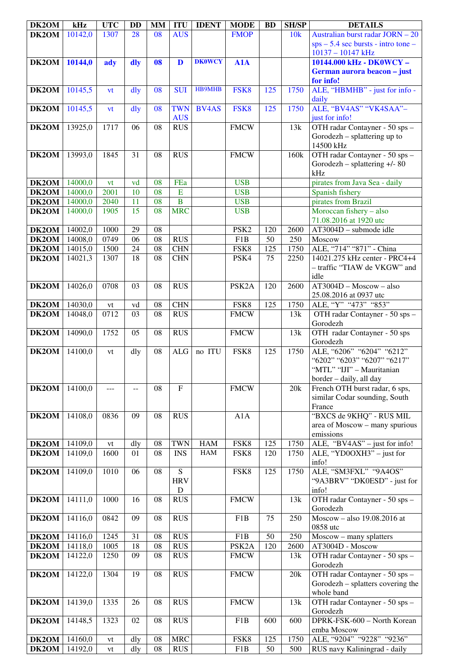| DK2OM              | kHz     | <b>UTC</b> | DD              | MM              | <b>ITU</b>     | <b>IDENT</b>  | <b>MODE</b>        | <b>BD</b>       | <b>SH/SP</b> | <b>DETAILS</b>                        |
|--------------------|---------|------------|-----------------|-----------------|----------------|---------------|--------------------|-----------------|--------------|---------------------------------------|
| DK2OM              | 10142,0 | 1307       | 28              | 08              | <b>AUS</b>     |               | <b>FMOP</b>        |                 | 10k          | Australian burst radar JORN - 20      |
|                    |         |            |                 |                 |                |               |                    |                 |              | $sys - 5.4 sec bursts - intro tone -$ |
|                    |         |            |                 |                 |                |               |                    |                 |              | 10137 - 10147 kHz                     |
| DK2OM              | 10144,0 | ady        | dly             | 08              | $\mathbf{D}$   | <b>DK0WCY</b> | A1A                |                 |              | 10144.000 kHz - DK0WCY -              |
|                    |         |            |                 |                 |                |               |                    |                 |              | German aurora beacon - just           |
|                    |         |            |                 |                 |                |               |                    |                 |              |                                       |
|                    |         |            |                 |                 |                |               |                    |                 |              | for info!                             |
| DK2OM              | 10145,5 | vt         | dly             | 08              | <b>SUI</b>     | <b>HB9MHB</b> | FSK8               | 125             | 1750         | ALE, "HBMHB" - just for info -        |
|                    |         |            |                 |                 |                |               |                    |                 |              | daily                                 |
| DK2OM              | 10145,5 | vt         | dly             | 08              | <b>TWN</b>     | <b>BV4AS</b>  | FSK8               | 125             | 1750         | ALE, "BV4AS" "VK4SAA"-                |
|                    |         |            |                 |                 | <b>AUS</b>     |               |                    |                 |              | just for info!                        |
| DK2OM              | 13925,0 | 1717       | 06              | 08              | <b>RUS</b>     |               | <b>FMCW</b>        |                 | 13k          | OTH radar Contayner - 50 sps -        |
|                    |         |            |                 |                 |                |               |                    |                 |              | Gorodezh - splattering up to          |
|                    |         |            |                 |                 |                |               |                    |                 |              | 14500 kHz                             |
|                    |         |            |                 |                 |                |               |                    |                 |              |                                       |
| DK2OM              | 13993,0 | 1845       | 31              | 08              | <b>RUS</b>     |               | <b>FMCW</b>        |                 | 160k         | OTH radar Contayner - 50 sps -        |
|                    |         |            |                 |                 |                |               |                    |                 |              | Gorodezh - splattering $+/- 80$       |
|                    |         |            |                 |                 |                |               |                    |                 |              | kHz                                   |
| DK2OM              | 14000,0 | vt         | vd              | 08              | FEa            |               | <b>USB</b>         |                 |              | pirates from Java Sea - daily         |
| DK2OM              | 14000,0 | 2001       | 10              | $\overline{08}$ | $\overline{E}$ |               | <b>USB</b>         |                 |              | Spanish fishery                       |
| DK2OM              | 14000,0 | 2040       | 11              | $\overline{08}$ | $\overline{B}$ |               | <b>USB</b>         |                 |              | pirates from Brazil                   |
| DK2OM              | 14000,0 | 1905       | $\overline{15}$ | 08              | <b>MRC</b>     |               | <b>USB</b>         |                 |              | Moroccan fishery - also               |
|                    |         |            |                 |                 |                |               |                    |                 |              | 71.08.2016 at 1920 utc                |
|                    |         |            |                 |                 |                |               |                    |                 |              |                                       |
| DK2OM              | 14002,0 | 1000       | 29              | 08              |                |               | PSK <sub>2</sub>   | 120             | 2600         | AT3004D - submode idle                |
| DK2OM              | 14008,0 | 0749       | 06              | 08              | <b>RUS</b>     |               | F1B                | 50              | 250          | Moscow                                |
| DK2OM              | 14015,0 | 1500       | 24              | 08              | <b>CHN</b>     |               | FSK8               | 125             | 1750         | ALE, "714" "871" - China              |
| DK2OM              | 14021,3 | 1307       | 18              | 08              | <b>CHN</b>     |               | PSK4               | 75              | 2250         | 14021.275 kHz center - PRC4+4         |
|                    |         |            |                 |                 |                |               |                    |                 |              | - traffic "TIAW de VKGW" and          |
|                    |         |            |                 |                 |                |               |                    |                 |              | idle                                  |
| DK2OM              | 14026,0 | 0708       | 03              | 08              | <b>RUS</b>     |               | PSK <sub>2</sub> A | 120             | 2600         | $AT3004D - Moscow - also$             |
|                    |         |            |                 |                 |                |               |                    |                 |              |                                       |
|                    |         |            |                 |                 |                |               |                    |                 |              | 25.08.2016 at 0937 utc                |
| DK2OM              | 14030,0 | vt         | vd              | 08              | <b>CHN</b>     |               | FSK8               | 125             | 1750         | ALE, "Y" "473" "853"                  |
| DK2OM              | 14048,0 | 0712       | 03              | 08              | <b>RUS</b>     |               | <b>FMCW</b>        |                 | 13k          | OTH radar Contayner - 50 sps -        |
|                    |         |            |                 |                 |                |               |                    |                 |              | Gorodezh                              |
| DK2OM              | 14090,0 | 1752       | 05              | 08              | <b>RUS</b>     |               | <b>FMCW</b>        |                 | 13k          | OTH radar Contayner - 50 sps          |
|                    |         |            |                 |                 |                |               |                    |                 |              | Gorodezh                              |
| DK2OM              | 14100,0 | vt         | dly             | 08              | $\rm ALG$      | no ITU        | FSK8               | 125             | 1750         | ALE, "6206" "6204" "6212"             |
|                    |         |            |                 |                 |                |               |                    |                 |              | "6202" "6203" "6207" "6217"           |
|                    |         |            |                 |                 |                |               |                    |                 |              | "MTL" "IJI" - Mauritanian             |
|                    |         |            |                 |                 |                |               |                    |                 |              | border - daily, all day               |
|                    |         |            |                 |                 | $\overline{F}$ |               |                    |                 |              |                                       |
| $\overline{DK2OM}$ | 14100,0 | ---        | --              | 08              |                |               | <b>FMCW</b>        |                 | 20k          | French OTH burst radar, 6 sps,        |
|                    |         |            |                 |                 |                |               |                    |                 |              | similar Codar sounding, South         |
|                    |         |            |                 |                 |                |               |                    |                 |              | France                                |
| DK2OM              | 14108,0 | 0836       | 09              | 08              | <b>RUS</b>     |               | A1A                |                 |              | "BXCS de 9KHQ" - RUS MIL              |
|                    |         |            |                 |                 |                |               |                    |                 |              | area of Moscow - many spurious        |
|                    |         |            |                 |                 |                |               |                    |                 |              | emissions                             |
| DK2OM              | 14109,0 | vt         | dly             | 08              | <b>TWN</b>     | <b>HAM</b>    | FSK8               | 125             | 1750         | ALE, "BV4AS" - just for info!         |
| DK2OM              | 14109,0 | 1600       | 01              | 08              | <b>INS</b>     | HAM           | FSK8               | 120             | 1750         | ALE, "YD0OXH3" – just for             |
|                    |         |            |                 |                 |                |               |                    |                 |              | info!                                 |
| DK2OM              | 14109,0 | 1010       | 06              | 08              | ${\bf S}$      |               | FSK8               | 125             | 1750         | ALE, "SM3FXL" "9A4OS"                 |
|                    |         |            |                 |                 | <b>HRV</b>     |               |                    |                 |              | "9A3BRV" "DK0ESD" - just for          |
|                    |         |            |                 |                 |                |               |                    |                 |              |                                       |
|                    |         |            |                 |                 | D              |               |                    |                 |              | info!                                 |
| DK2OM              | 14111,0 | 1000       | 16              | 08              | <b>RUS</b>     |               | <b>FMCW</b>        |                 | 13k          | OTH radar Contayner - 50 sps -        |
|                    |         |            |                 |                 |                |               |                    |                 |              | Gorodezh                              |
| DK2OM              | 14116,0 | 0842       | 09              | 08              | <b>RUS</b>     |               | F1B                | 75              | 250          | Moscow - also 19.08.2016 at           |
|                    |         |            |                 |                 |                |               |                    |                 |              | 0858 utc                              |
| DK2OM              | 14116,0 | 1245       | 31              | 08              | <b>RUS</b>     |               | F <sub>1</sub> B   | $\overline{50}$ | 250          | Moscow - many splatters               |
| DK2OM              | 14118,0 | 1005       | $\overline{18}$ | 08              | <b>RUS</b>     |               | PSK <sub>2</sub> A | 120             | 2600         | AT3004D - Moscow                      |
| DK2OM              | 14122,0 | 1250       | 09              | 08              | <b>RUS</b>     |               | <b>FMCW</b>        |                 | 13k          | OTH radar Contayner - 50 sps -        |
|                    |         |            |                 |                 |                |               |                    |                 |              | Gorodezh                              |
|                    |         |            |                 |                 |                |               |                    |                 |              |                                       |
| DK2OM              | 14122,0 | 1304       | 19              | 08              | <b>RUS</b>     |               | <b>FMCW</b>        |                 | 20k          | OTH radar Contayner - 50 sps -        |
|                    |         |            |                 |                 |                |               |                    |                 |              | Gorodezh – splatters covering the     |
|                    |         |            |                 |                 |                |               |                    |                 |              | whole band                            |
| DK2OM              | 14139,0 | 1335       | $\overline{26}$ | 08              | <b>RUS</b>     |               | <b>FMCW</b>        |                 | 13k          | OTH radar Contayner - 50 sps -        |
|                    |         |            |                 |                 |                |               |                    |                 |              | Gorodezh                              |
| DK2OM              | 14148,5 | 1323       | 02              | 08              | <b>RUS</b>     |               | F <sub>1</sub> B   | 600             | 600          | DPRK-FSK-600 - North Korean           |
|                    |         |            |                 |                 |                |               |                    |                 |              | emba Moscow                           |
| DK2OM              | 14160,0 |            | dly             | 08              | <b>MRC</b>     |               | FSK8               | 125             | 1750         | ALE, "9204" "9228" "9236"             |
|                    |         | vt         |                 |                 |                |               |                    |                 |              |                                       |
| DK2OM              | 14192,0 | ${\it vt}$ | dly             | 08              | RUS            |               | F1B                | 50              | 500          | RUS navy Kaliningrad - daily          |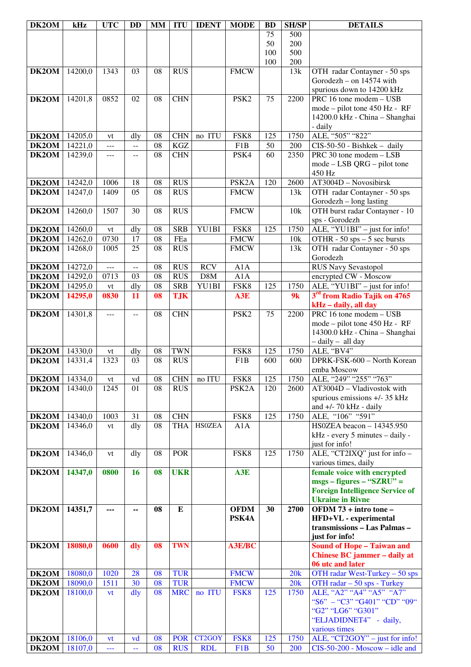| DK2OM          | kHz                | <b>UTC</b>   | <b>DD</b>                                     | <b>MM</b> | <b>ITU</b>               | <b>IDENT</b>  | <b>MODE</b>        | <b>BD</b>  | <b>SH/SP</b> | <b>DETAILS</b>                                             |
|----------------|--------------------|--------------|-----------------------------------------------|-----------|--------------------------|---------------|--------------------|------------|--------------|------------------------------------------------------------|
|                |                    |              |                                               |           |                          |               |                    | 75         | 500          |                                                            |
|                |                    |              |                                               |           |                          |               |                    | 50         | 200          |                                                            |
|                |                    |              |                                               |           |                          |               |                    | 100<br>100 | 500          |                                                            |
| DK2OM          | 14200,0            | 1343         | 03                                            | 08        | <b>RUS</b>               |               | <b>FMCW</b>        |            | 200<br>13k   | OTH radar Contayner - 50 sps                               |
|                |                    |              |                                               |           |                          |               |                    |            |              | Gorodezh - on 14574 with                                   |
|                |                    |              |                                               |           |                          |               |                    |            |              | spurious down to 14200 kHz                                 |
| DK2OM          | 14201,8            | 0852         | 02                                            | 08        | <b>CHN</b>               |               | PSK <sub>2</sub>   | 75         | 2200         | $\overline{\text{PRC}}$ 16 tone modem - USB                |
|                |                    |              |                                               |           |                          |               |                    |            |              | mode – pilot tone 450 Hz - RF                              |
|                |                    |              |                                               |           |                          |               |                    |            |              | 14200.0 kHz - China - Shanghai                             |
|                |                    |              |                                               |           |                          |               |                    |            |              | - daily                                                    |
| DK2OM          | 14205,0            | vt           | dly                                           | 08        | <b>CHN</b>               | no ITU        | FSK8               | 125        | 1750         | ALE, "505" "822"                                           |
| DK2OM          | 14221,0            | $---$        | $\mathord{\hspace{1pt}\text{--}\hspace{1pt}}$ | 08        | <b>KGZ</b>               |               | F1B                | 50         | 200          | CIS-50-50 - Bishkek - daily                                |
| DK2OM          | 14239,0            | $ -$         | $- -$                                         | 08        | <b>CHN</b>               |               | PSK4               | 60         | 2350         | PRC 30 tone modem - LSB                                    |
|                |                    |              |                                               |           |                          |               |                    |            |              | $mode - LSB QRG - pilot tone$<br>450 Hz                    |
| DK2OM          | 14242,0            | 1006         | 18                                            | 08        | <b>RUS</b>               |               | PSK <sub>2</sub> A | 120        | 2600         | AT3004D - Novosibirsk                                      |
| DK2OM          | 14247,0            | 1409         | 05                                            | 08        | <b>RUS</b>               |               | <b>FMCW</b>        |            | 13k          | OTH radar Contayner - 50 sps                               |
|                |                    |              |                                               |           |                          |               |                    |            |              | Gorodezh $-$ long lasting                                  |
| DK2OM          | 14260,0            | 1507         | 30                                            | 08        | <b>RUS</b>               |               | <b>FMCW</b>        |            | 10k          | OTH burst radar Contayner - 10                             |
|                |                    |              |                                               |           |                          |               |                    |            |              | sps - Gorodezh                                             |
| DK2OM          | 14260,0            | vt           | dly                                           | 08        | <b>SRB</b>               | YU1BI         | FSK8               | 125        | 1750         | ALE, "YU1BI" - just for info!                              |
| DK2OM          | 14262,0            | 0730         | 17                                            | 08        | FEa                      |               | <b>FMCW</b>        |            | 10k          | OTHR - $50$ sps $-5$ sec bursts                            |
| DK2OM          | 14268,0            | 1005         | 25                                            | 08        | <b>RUS</b>               |               | <b>FMCW</b>        |            | 13k          | OTH radar Contayner - 50 sps                               |
|                |                    |              |                                               |           |                          |               |                    |            |              | Gorodezh                                                   |
| DK2OM          | 14272,0<br>14292,0 | $ -$<br>0713 | $-$<br>03                                     | 08<br>08  | <b>RUS</b><br><b>RUS</b> | <b>RCV</b>    | A1A<br>A1A         |            |              | <b>RUS Navy Sevastopol</b>                                 |
| DK2OM<br>DK2OM | 14295,0            | vt           | dly                                           | 08        | <b>SRB</b>               | D8M<br>YU1BI  | FSK8               | 125        | 1750         | encrypted CW - Moscow<br>ALE, "YU1BI" - just for info!     |
| DK2OM          | 14295,0            | 0830         | 11                                            | 08        | <b>TJK</b>               |               | A3E                |            | 9k           | 3 <sup>rd</sup> from Radio Tajik on 4765                   |
|                |                    |              |                                               |           |                          |               |                    |            |              | kHz - daily, all day                                       |
| DK2OM          | 14301,8            | $---$        | --                                            | 08        | <b>CHN</b>               |               | PSK <sub>2</sub>   | 75         | 2200         | PRC 16 tone modem - USB                                    |
|                |                    |              |                                               |           |                          |               |                    |            |              | mode – pilot tone 450 Hz - RF                              |
|                |                    |              |                                               |           |                          |               |                    |            |              | 14300.0 kHz - China - Shanghai                             |
|                |                    |              |                                               |           |                          |               |                    |            |              | - daily - all day                                          |
| DK2OM          | 14330,0            | vt           | dly                                           | 08        | <b>TWN</b>               |               | FSK8               | 125        | 1750         | ALE, "BV4"                                                 |
| DK2OM          | 14331,4            | 1323         | 03                                            | 08        | <b>RUS</b>               |               | F1B                | 600        | 600          | DPRK-FSK-600 - North Korean                                |
|                |                    |              |                                               | 08        | <b>CHN</b>               | no ITU        | FSK8               | 125        |              | emba Moscow<br>ALE, "249" "255" "763"                      |
| DK2OM<br>DK2OM | 14334,0<br>14340,0 | vt<br>1245   | vd<br>01                                      | 08        | <b>RUS</b>               |               | PSK <sub>2</sub> A | 120        | 1750<br>2600 | AT3004D - Vladivostok with                                 |
|                |                    |              |                                               |           |                          |               |                    |            |              | spurious emissions +/- 35 kHz                              |
|                |                    |              |                                               |           |                          |               |                    |            |              | and $+/-$ 70 kHz - daily                                   |
| DK2OM          | 14340,0            | 1003         | 31                                            | 08        | <b>CHN</b>               |               | FSK8               | 125        | 1750         | ALE, "106" "591"                                           |
| DK2OM          | 14346,0            | vt           | dly                                           | 08        | <b>THA</b>               | <b>HSOZEA</b> | A1A                |            |              | HS0ZEA beacon - 14345.950                                  |
|                |                    |              |                                               |           |                          |               |                    |            |              | kHz - every 5 minutes - daily -                            |
|                |                    |              |                                               |           |                          |               |                    |            |              | just for info!                                             |
| DK2OM          | 14346,0            | vt           | dly                                           | 08        | <b>POR</b>               |               | FSK8               | 125        | 1750         | ALE, "CT2IXQ" just for info -                              |
|                |                    |              |                                               |           |                          |               |                    |            |              | various times, daily                                       |
| DK2OM          | 14347,0            | 0800         | <b>16</b>                                     | 08        | <b>UKR</b>               |               | A3E                |            |              | female voice with encrypted<br>$msgs - figures - "SZRU" =$ |
|                |                    |              |                                               |           |                          |               |                    |            |              | <b>Foreign Intelligence Service of</b>                     |
|                |                    |              |                                               |           |                          |               |                    |            |              | <b>Ukraine in Rivne</b>                                    |
| DK2OM          | 14351,7            | ---          | --                                            | 08        | ${\bf E}$                |               | <b>OFDM</b>        | 30         | 2700         | OFDM 73 + intro tone -                                     |
|                |                    |              |                                               |           |                          |               | PSK4A              |            |              | HFD+VL - experimental                                      |
|                |                    |              |                                               |           |                          |               |                    |            |              | transmissions - Las Palmas -                               |
|                |                    |              |                                               |           |                          |               |                    |            |              | just for info!                                             |
| DK2OM          | 18080,0            | 0600         | dly                                           | 08        | <b>TWN</b>               |               | A3E/BC             |            |              | <b>Sound of Hope - Taiwan and</b>                          |
|                |                    |              |                                               |           |                          |               |                    |            |              | Chinese BC jammer - daily at<br>06 utc and later           |
| DK2OM          | 18080,0            | 1020         | 28                                            | 08        | <b>TUR</b>               |               | <b>FMCW</b>        |            | 20k          | OTH radar West-Turkey - 50 sps                             |
| DK2OM          | 18090,0            | 1511         | 30                                            | 08        | <b>TUR</b>               |               | <b>FMCW</b>        |            | 20k          | OTH radar - 50 sps - Turkey                                |
| DK2OM          | 18100,0            | vt           | $\frac{d}{dy}$                                | 08        | <b>MRC</b>               | no ITU        | FSK8               | 125        | 1750         | ALE, "A2" "A4" "A5" "A7"                                   |
|                |                    |              |                                               |           |                          |               |                    |            |              | "S6" - "C3" "G401" "CD" "09"                               |
|                |                    |              |                                               |           |                          |               |                    |            |              | "G2" "LG6" "G301"                                          |
|                |                    |              |                                               |           |                          |               |                    |            |              | "ELJADIDNET4" - daily,                                     |
|                |                    |              |                                               |           |                          |               |                    |            |              | various times                                              |
| DK2OM          | 18106,0            | vt           | yd                                            | 08        | <b>POR</b>               | CT2GOY        | FSK8               | 125        | 1750         | ALE, "CT2GOY" – just for info!                             |
| DK2OM          | 18107,0            | ---          | 44                                            | 08        | <b>RUS</b>               | <b>RDL</b>    | F <sub>1</sub> B   | 50         | 200          | $CIS-50-200$ - Moscow - idle and                           |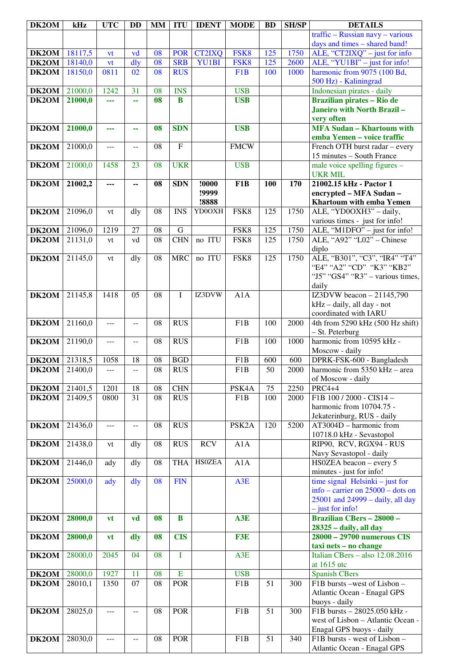| DK2OM | kHz     | <b>UTC</b>     | <b>DD</b>       | <b>MM</b>       | <b>ITU</b>     | <b>IDENT</b>  | <b>MODE</b>        | <b>BD</b>       | <b>SH/SP</b> | <b>DETAILS</b>                                      |
|-------|---------|----------------|-----------------|-----------------|----------------|---------------|--------------------|-----------------|--------------|-----------------------------------------------------|
|       |         |                |                 |                 |                |               |                    |                 |              | $\text{traffic} - \text{Russian}$ navy - various    |
|       |         |                |                 |                 |                |               |                    |                 |              | days and times - shared band!                       |
| DK2OM | 18117,5 | vt             | vd              | 08              | <b>POR</b>     | <b>CT2IXQ</b> | FSK8               | 125             | 1750         | ALE, "CT2IXQ" $-$ just for info                     |
| DK2OM | 18140,0 | vt             | dly             | 08              | <b>SRB</b>     | YU1BI         | FSK8               | 125             | 2600         | ALE, "YU1BI" - just for info!                       |
| DK2OM | 18150,0 | 0811           | 02              | 08              | <b>RUS</b>     |               | F1B                | 100             | 1000         | harmonic from 9075 (100 Bd,                         |
|       |         |                |                 |                 |                |               |                    |                 |              | 500 Hz) - Kaliningrad                               |
| DK2OM | 21000,0 | 1242           | 31              | 08              | <b>INS</b>     |               | <b>USB</b>         |                 |              | Indonesian pirates - daily                          |
| DK2OM | 21000,0 | ---            | 44              | 08              | $\bf{B}$       |               | <b>USB</b>         |                 |              | Brazilian pirates - Rio de                          |
|       |         |                |                 |                 |                |               |                    |                 |              | <b>Janeiro with North Brazil-</b>                   |
| DK2OM | 21000,0 |                |                 | 08              | <b>SDN</b>     |               | <b>USB</b>         |                 |              | very often<br><b>MFA Sudan - Khartoum with</b>      |
|       |         | ---            | 44              |                 |                |               |                    |                 |              | emba Yemen - voice traffic                          |
| DK2OM | 21000,0 | ---            | --              | 08              | $\overline{F}$ |               | <b>FMCW</b>        |                 |              | French OTH burst radar - every                      |
|       |         |                |                 |                 |                |               |                    |                 |              | 15 minutes - South France                           |
| DK2OM | 21000,0 | 1458           | 23              | 08              | <b>UKR</b>     |               | <b>USB</b>         |                 |              | male voice spelling figures -                       |
|       |         |                |                 |                 |                |               |                    |                 |              | <b>UKR MIL</b>                                      |
| DK2OM | 21002,2 | ---            | ۰.              | 08              | <b>SDN</b>     | !0000         | F <sub>1</sub> B   | <b>100</b>      | 170          | 21002.15 kHz - Pactor 1                             |
|       |         |                |                 |                 |                | !9999         |                    |                 |              | encrypted - MFA Sudan -                             |
|       |         |                |                 |                 |                | !8888         |                    |                 |              | Khartoum with emba Yemen                            |
| DK2OM | 21096,0 | vt             | dly             | 08              | <b>INS</b>     | YD0OXH        | FSK8               | 125             | 1750         | ALE, "YD0OXH3" - daily,                             |
|       |         |                |                 |                 |                |               |                    |                 |              | various times - just for info!                      |
| DK2OM | 21096,0 | 1219           | 27              | 08              | $\mathbf G$    |               | FSK8               | 125             | 1750         | ALE, "M1DFO" - just for info!                       |
| DK2OM | 21131,0 | vt             | vd              | $\overline{08}$ | <b>CHN</b>     | no ITU        | FSK8               | 125             | 1750         | ALE, "A92" "L02" - Chinese                          |
|       |         |                |                 |                 |                |               |                    |                 |              | diplo                                               |
| DK2OM | 21145,0 | vt             | dly             | 08              | <b>MRC</b>     | no ITU        | FSK8               | 125             | 1750         | ALE, "B301", "C3", "IR4" "T4"                       |
|       |         |                |                 |                 |                |               |                    |                 |              | "E4" "A2" "CD" "K3" "KB2"                           |
|       |         |                |                 |                 |                |               |                    |                 |              | "J5" "GS4" "R3" – various times,                    |
| DK2OM | 21145,8 | 1418           | 05              | 08              | I              | IZ3DVW        | A1A                |                 |              | daily<br>IZ3DVW beacon $-21145,790$                 |
|       |         |                |                 |                 |                |               |                    |                 |              | kHz - daily, all day - not                          |
|       |         |                |                 |                 |                |               |                    |                 |              | coordinated with IARU                               |
| DK2OM | 21160,0 | $---$          | $-$             | 08              | <b>RUS</b>     |               | F <sub>1</sub> B   | 100             | 2000         | 4th from 5290 kHz (500 Hz shift)                    |
|       |         |                |                 |                 |                |               |                    |                 |              | - St. Peterburg                                     |
| DK2OM | 21190,0 | $\overline{a}$ | $-$             | 08              | <b>RUS</b>     |               | F1B                | 100             | 1000         | harmonic from 10595 kHz -                           |
|       |         |                |                 |                 |                |               |                    |                 |              | Moscow - daily                                      |
| DK2OM | 21318,5 | 1058           | 18              | 08              | <b>BGD</b>     |               | F <sub>1</sub> B   | 600             | 600          | DPRK-FSK-600 - Bangladesh                           |
| DK2OM | 21400,0 | $---$          | $\overline{a}$  | 08              | <b>RUS</b>     |               | F1B                | $\overline{50}$ | 2000         | harmonic from 5350 kHz - area                       |
|       |         |                |                 |                 |                |               |                    |                 |              | of Moscow - daily                                   |
| DK2OM | 21401,5 | 1201           | 18              | 08              | <b>CHN</b>     |               | PSK4A              | 75              | 2250         | <b>PRC4+4</b>                                       |
| DK2OM | 21409,5 | 0800           | $\overline{31}$ | 08              | <b>RUS</b>     |               | F1B                | 100             | 2000         | F1B 100 / 2000 - CIS14 -                            |
|       |         |                |                 |                 |                |               |                    |                 |              | harmonic from 10704.75 -                            |
|       |         |                |                 |                 |                |               |                    |                 |              | Jekaterinburg, RUS - daily                          |
| DK2OM | 21436,0 | $---$          | --              | 08              | <b>RUS</b>     |               | PSK <sub>2</sub> A | 120             | 5200         | AT3004D - harmonic from                             |
|       |         |                |                 |                 |                | <b>RCV</b>    |                    |                 |              | 10718.0 kHz - Sevastopol<br>RIP90, RCV, RGX94 - RUS |
| DK2OM | 21438,0 | vt             | dly             | 08              | <b>RUS</b>     |               | A1A                |                 |              | Navy Sevastopol - daily                             |
| DK2OM | 21446,0 | ady            | dly             | 08              | <b>THA</b>     | <b>HSOZEA</b> | A1A                |                 |              | HS0ZEA beacon - every $5$                           |
|       |         |                |                 |                 |                |               |                    |                 |              | minutes - just for info!                            |
| DK2OM | 25000,0 | ady            | dly             | 08              | <b>FIN</b>     |               | A <sub>3</sub> E   |                 |              | time signal $Helsinki$ - just for                   |
|       |         |                |                 |                 |                |               |                    |                 |              | info – carrier on $25000$ – dots on                 |
|       |         |                |                 |                 |                |               |                    |                 |              | 25001 and 24999 - daily, all day                    |
|       |         |                |                 |                 |                |               |                    |                 |              | $-$ just for info!                                  |
| DK2OM | 28000,0 | <b>vt</b>      | vd              | 08              | $\bf{B}$       |               | A3E                |                 |              | <b>Brazilian CBers - 28000 -</b>                    |
|       |         |                |                 |                 |                |               |                    |                 |              | 28325 - daily, all day                              |
| DK2OM | 28000,0 | vt             | dly             | 08              | <b>CIS</b>     |               | F3E                |                 |              | 28000 - 29700 numerous CIS                          |
|       |         |                |                 |                 |                |               |                    |                 |              | taxi nets - no change                               |
| DK2OM | 28000,0 | 2045           | 04              | 08              | T              |               | A3E                |                 |              | Italian CBers - also 12.08.2016                     |
|       |         |                |                 |                 |                |               |                    |                 |              | at 1615 utc                                         |
| DK2OM | 28000,0 | 1927           | 11              | 08              | $\mathbf E$    |               | <b>USB</b>         |                 |              | <b>Spanish CBers</b>                                |
| DK2OM | 28010,1 | 1350           | 07              | 08              | <b>POR</b>     |               | F1B                | 51              | 300          | F1B bursts -west of Lisbon -                        |
|       |         |                |                 |                 |                |               |                    |                 |              | Atlantic Ocean - Enagal GPS                         |
|       |         |                |                 | 08              | <b>POR</b>     |               | F <sub>1</sub> B   | 51              | 300          | buoys - daily<br>F1B bursts - 28025.050 kHz -       |
| DK2OM | 28025,0 | ---            | --              |                 |                |               |                    |                 |              | west of Lisbon - Atlantic Ocean -                   |
|       |         |                |                 |                 |                |               |                    |                 |              | Enagal GPS buoys - daily                            |
| DK2OM | 28030,0 | $---$          | --              | 08              | <b>POR</b>     |               | F1B                | 51              | 340          | F1B bursts - west of Lisbon -                       |
|       |         |                |                 |                 |                |               |                    |                 |              | Atlantic Ocean - Enagal GPS                         |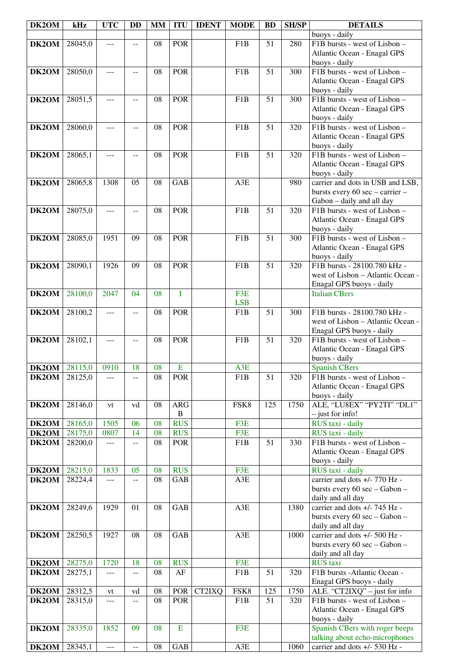| DK2OM                | kHz     | <b>UTC</b>     | <b>DD</b>                | <b>MM</b>       | <b>ITU</b>     | <b>IDENT</b> | <b>MODE</b>      | <b>BD</b>        | <b>SH/SP</b>     | <b>DETAILS</b>                                               |
|----------------------|---------|----------------|--------------------------|-----------------|----------------|--------------|------------------|------------------|------------------|--------------------------------------------------------------|
|                      |         |                |                          |                 |                |              |                  |                  |                  | buoys - daily                                                |
| DK2OM                | 28045,0 | $\overline{a}$ | $- -$                    | 08              | <b>POR</b>     |              | F1B              | 51               | 280              | F1B bursts - west of Lisbon -                                |
|                      |         |                |                          |                 |                |              |                  |                  |                  | Atlantic Ocean - Enagal GPS                                  |
|                      |         |                |                          |                 |                |              |                  |                  |                  | buoys - daily                                                |
| DK2OM                | 28050,0 | $---$          | $-$                      | 08              | <b>POR</b>     |              | F1B              | 51               | 300              | F1B bursts - west of Lisbon -                                |
|                      |         |                |                          |                 |                |              |                  |                  |                  | Atlantic Ocean - Enagal GPS                                  |
|                      |         |                |                          |                 |                |              |                  |                  |                  | buoys - daily                                                |
| DK2OM                | 28051,5 | ---            | $\overline{a}$           | 08              | <b>POR</b>     |              | F <sub>1</sub> B | 51               | 300              | F1B bursts - west of Lisbon -                                |
|                      |         |                |                          |                 |                |              |                  |                  |                  | Atlantic Ocean - Enagal GPS                                  |
|                      |         |                |                          |                 |                |              |                  |                  |                  | buoys - daily                                                |
| DK2OM                | 28060,0 | $---$          | $-$                      | 08              | POR            |              | F <sub>1</sub> B | 51               | 320              | F1B bursts - west of Lisbon -                                |
|                      |         |                |                          |                 |                |              |                  |                  |                  | Atlantic Ocean - Enagal GPS                                  |
|                      |         |                |                          |                 |                |              |                  |                  |                  | buoys - daily                                                |
| DK2OM                | 28065,1 | ---            | $- -$                    | 08              | <b>POR</b>     |              | F <sub>1</sub> B | 51               | 320              | F1B bursts - west of Lisbon -                                |
|                      |         |                |                          |                 |                |              |                  |                  |                  | Atlantic Ocean - Enagal GPS                                  |
| DK2OM                |         | 1308           | 05                       | 08              | GAB            |              | A3E              |                  | 980              | buoys - daily<br>carrier and dots in USB and LSB,            |
|                      | 28065,8 |                |                          |                 |                |              |                  |                  |                  |                                                              |
|                      |         |                |                          |                 |                |              |                  |                  |                  | bursts every 60 sec - carrier -<br>Gabon - daily and all day |
| DK2OM                | 28075,0 | ---            |                          | 08              | <b>POR</b>     |              | F <sub>1</sub> B | 51               | 320              | F1B bursts - west of Lisbon -                                |
|                      |         |                |                          |                 |                |              |                  |                  |                  | Atlantic Ocean - Enagal GPS                                  |
|                      |         |                |                          |                 |                |              |                  |                  |                  | buoys - daily                                                |
| DK2OM                | 28085,0 | 1951           | 09                       | 08              | <b>POR</b>     |              | F <sub>1</sub> B | 51               | 300              | F1B bursts - west of Lisbon -                                |
|                      |         |                |                          |                 |                |              |                  |                  |                  | Atlantic Ocean - Enagal GPS                                  |
|                      |         |                |                          |                 |                |              |                  |                  |                  | buoys - daily                                                |
| DK2OM                | 28090,1 | 1926           | 09                       | 08              | <b>POR</b>     |              | $\overline{F1B}$ | $\overline{51}$  | $\overline{320}$ | F1B bursts - 28100.780 kHz -                                 |
|                      |         |                |                          |                 |                |              |                  |                  |                  | west of Lisbon - Atlantic Ocean -                            |
|                      |         |                |                          |                 |                |              |                  |                  |                  | Enagal GPS buoys - daily                                     |
| DK2OM                | 28100,0 | 2047           | 04                       | 08              | I              |              | F3E              |                  |                  | <b>Italian CBers</b>                                         |
|                      |         |                |                          |                 |                |              | <b>LSB</b>       |                  |                  |                                                              |
| DK2OM                | 28100,2 | $ -$           | $\overline{a}$           | 08              | <b>POR</b>     |              | F <sub>1</sub> B | $\overline{51}$  | 300              | F1B bursts - 28100.780 kHz -                                 |
|                      |         |                |                          |                 |                |              |                  |                  |                  | west of Lisbon - Atlantic Ocean -                            |
|                      |         |                |                          |                 |                |              |                  |                  |                  | Enagal GPS buoys - daily                                     |
| DK2OM                | 28102,1 | $---$          | $-1$                     | 08              | POR            |              | F1B              | 51               | 320              | F1B bursts - west of Lisbon -                                |
|                      |         |                |                          |                 |                |              |                  |                  |                  | Atlantic Ocean - Enagal GPS                                  |
|                      |         |                |                          |                 |                |              |                  |                  |                  | buoys - daily                                                |
| DK2OM                | 28115,0 | 0910           | 18                       | 08              | $\mathbf E$    |              | A3E              |                  |                  | <b>Spanish CBers</b>                                         |
| <b>DK2OM</b> 28125,0 |         | $---$          | $\overline{\phantom{m}}$ | $\overline{08}$ | <b>POR</b>     |              | F1B              | $\overline{51}$  | 320              | F1B bursts - west of Lisbon -                                |
|                      |         |                |                          |                 |                |              |                  |                  |                  | Atlantic Ocean - Enagal GPS                                  |
|                      |         |                |                          |                 |                |              |                  |                  |                  | buoys - daily                                                |
| DK2OM                | 28146,0 | vt             | vd                       | 08              | <b>ARG</b>     |              | FSK8             | $\overline{125}$ | 1750             | ALE, "LU8EX" "PY2TI" "DL1"                                   |
|                      |         |                |                          |                 | $\bf{B}$       |              |                  |                  |                  | $-$ just for info!                                           |
| DK2OM                | 28165,0 | 1505           | 06                       | 08              | <b>RUS</b>     |              | F3E              |                  |                  | RUS taxi - daily                                             |
| DK2OM                | 28175,0 | 0807           | 14                       | 08              | <b>RUS</b>     |              | F3E              |                  |                  | RUS taxi - daily                                             |
| DK2OM                | 28200,0 | $---$          | --                       | 08              | <b>POR</b>     |              | F1B              | 51               | 330              | F1B bursts - west of Lisbon -                                |
|                      |         |                |                          |                 |                |              |                  |                  |                  | Atlantic Ocean - Enagal GPS                                  |
|                      |         |                |                          |                 | <b>RUS</b>     |              | F3E              |                  |                  | buoys - daily                                                |
| DK2OM                | 28215,0 | 1833           | 05                       | 08<br>08        | GAB            |              | A3E              |                  |                  | RUS taxi - daily<br>carrier and dots +/- 770 Hz -            |
| DK2OM                | 28224,4 | ---            | $-$                      |                 |                |              |                  |                  |                  | bursts every 60 sec - Gabon -                                |
|                      |         |                |                          |                 |                |              |                  |                  |                  | daily and all day                                            |
| DK2OM                | 28249,6 | 1929           | 01                       | 08              | GAB            |              | A3E              |                  | 1380             | carrier and dots +/- 745 Hz -                                |
|                      |         |                |                          |                 |                |              |                  |                  |                  | bursts every 60 sec - Gabon -                                |
|                      |         |                |                          |                 |                |              |                  |                  |                  | daily and all day                                            |
| DK2OM                | 28250,5 | 1927           | 08                       | 08              | GAB            |              | A3E              |                  | 1000             | carrier and dots +/- 500 Hz -                                |
|                      |         |                |                          |                 |                |              |                  |                  |                  | bursts every 60 sec - Gabon -                                |
|                      |         |                |                          |                 |                |              |                  |                  |                  | daily and all day                                            |
| DK2OM                | 28275,0 | 1720           | 18                       | 08              | <b>RUS</b>     |              | F3E              |                  |                  | <b>RUS</b> taxi                                              |
| DK2OM                | 28275,1 | $---$          | $- -$                    | 08              | $\rm AF$       |              | F1B              | 51               | 320              | F1B bursts -Atlantic Ocean -                                 |
|                      |         |                |                          |                 |                |              |                  |                  |                  | Enagal GPS buoys - daily                                     |
| DK2OM                | 28312,5 | vt             | vd                       | 08              | POR            | CT2IXQ       | FSK8             | 125              | 1750             | ALE. "CT2IXQ" - just for info                                |
| DK2OM                | 28315,0 | ---            | --                       | 08              | <b>POR</b>     |              | F1B              | 51               | 320              | F1B bursts - west of Lisbon -                                |
|                      |         |                |                          |                 |                |              |                  |                  |                  | Atlantic Ocean - Enagal GPS                                  |
|                      |         |                |                          |                 |                |              |                  |                  |                  | buoys - daily                                                |
| DK2OM                | 28335,0 | 1852           | 09                       | 08              | $\overline{E}$ |              | F3E              |                  |                  | Spanish CBers with roger beeps                               |
|                      |         |                |                          |                 |                |              |                  |                  |                  | talking about echo-microphones                               |
| DK2OM                | 28345,1 | $\overline{a}$ | $\overline{a}$           | 08              | GAB            |              | A3E              |                  | 1060             | carrier and dots +/- 530 Hz -                                |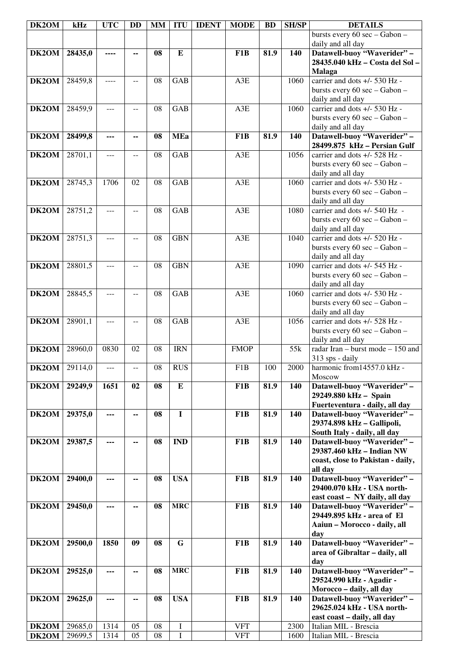| DK2OM | kHz     | <b>UTC</b>     | <b>DD</b>                                     | <b>MM</b> | <b>ITU</b>              | <b>IDENT</b> | <b>MODE</b>      | <b>BD</b> | <b>SH/SP</b> | <b>DETAILS</b>                                                 |
|-------|---------|----------------|-----------------------------------------------|-----------|-------------------------|--------------|------------------|-----------|--------------|----------------------------------------------------------------|
|       |         |                |                                               |           |                         |              |                  |           |              | bursts every 60 sec - Gabon -                                  |
|       |         |                |                                               |           |                         |              |                  |           |              | daily and all day                                              |
| DK2OM | 28435,0 | ----           | $\overline{a}$                                | 08        | ${\bf E}$               |              | F1B              | 81.9      | 140          | Datawell-buoy "Waverider" -<br>28435.040 kHz - Costa del Sol - |
|       |         |                |                                               |           |                         |              |                  |           |              | <b>Malaga</b>                                                  |
| DK2OM | 28459,8 | ----           | $\overline{a}$                                | 08        | <b>GAB</b>              |              | A3E              |           | 1060         | carrier and dots +/- 530 Hz -                                  |
|       |         |                |                                               |           |                         |              |                  |           |              | bursts every 60 sec - Gabon -                                  |
|       |         |                |                                               |           |                         |              |                  |           |              | daily and all day                                              |
| DK2OM | 28459,9 | $\overline{a}$ | $\overline{a}$                                | 08        | <b>GAB</b>              |              | A3E              |           | 1060         | carrier and dots +/- 530 Hz -                                  |
|       |         |                |                                               |           |                         |              |                  |           |              | bursts every 60 sec - Gabon -                                  |
|       |         |                |                                               |           |                         |              |                  |           |              | daily and all day                                              |
| DK2OM | 28499,8 | ---            | --                                            | 08        | <b>MEa</b>              |              | F <sub>1</sub> B | 81.9      | 140          | Datawell-buoy "Waverider" -<br>28499.875 kHz - Persian Gulf    |
| DK2OM | 28701,1 | ---            | --                                            | 08        | <b>GAB</b>              |              | A3E              |           | 1056         | carrier and dots +/- 528 Hz -                                  |
|       |         |                |                                               |           |                         |              |                  |           |              | bursts every 60 sec - Gabon -                                  |
|       |         |                |                                               |           |                         |              |                  |           |              | daily and all day                                              |
| DK2OM | 28745,3 | 1706           | 02                                            | 08        | GAB                     |              | A3E              |           | 1060         | carrier and dots +/- 530 Hz -                                  |
|       |         |                |                                               |           |                         |              |                  |           |              | bursts every 60 sec - Gabon -                                  |
|       |         |                |                                               |           |                         |              |                  |           |              | daily and all day                                              |
| DK2OM | 28751,2 | ---            | $-$                                           | 08        | <b>GAB</b>              |              | A3E              |           | 1080         | carrier and dots +/- 540 Hz -                                  |
|       |         |                |                                               |           |                         |              |                  |           |              | bursts every 60 sec - Gabon -                                  |
| DK2OM | 28751,3 | ---            | $-$                                           | 08        | <b>GBN</b>              |              | A3E              |           | 1040         | daily and all day<br>carrier and dots +/- 520 Hz -             |
|       |         |                |                                               |           |                         |              |                  |           |              | bursts every 60 sec - Gabon -                                  |
|       |         |                |                                               |           |                         |              |                  |           |              | daily and all day                                              |
| DK2OM | 28801,5 | $---$          | $-$                                           | 08        | <b>GBN</b>              |              | A3E              |           | 1090         | carrier and dots +/- 545 Hz -                                  |
|       |         |                |                                               |           |                         |              |                  |           |              | bursts every 60 sec - Gabon -                                  |
|       |         |                |                                               |           |                         |              |                  |           |              | daily and all day                                              |
| DK2OM | 28845,5 | ---            | --                                            | 08        | <b>GAB</b>              |              | A3E              |           | 1060         | carrier and dots $+/-$ 530 Hz -                                |
|       |         |                |                                               |           |                         |              |                  |           |              | bursts every 60 sec - Gabon -                                  |
| DK2OM | 28901,1 | ---            | $\mathord{\hspace{1pt}\text{--}\hspace{1pt}}$ | 08        | <b>GAB</b>              |              | A3E              |           | 1056         | daily and all day<br>carrier and dots +/- 528 Hz -             |
|       |         |                |                                               |           |                         |              |                  |           |              | bursts every 60 sec - Gabon -                                  |
|       |         |                |                                               |           |                         |              |                  |           |              | daily and all day                                              |
| DK2OM | 28960,0 | 0830           | 02                                            | 08        | <b>IRN</b>              |              | <b>FMOP</b>      |           | 55k          | radar Iran – burst mode – 150 and                              |
|       |         |                |                                               |           |                         |              |                  |           |              | 313 sps - daily                                                |
| DK2OM | 29114,0 | $- - -$        | $- -$                                         | 08        | <b>RUS</b>              |              | F1B              | 100       | 2000         | harmonic from14557.0 kHz -                                     |
|       |         |                |                                               |           |                         |              |                  |           |              | Moscow                                                         |
| DK2OM | 29249,9 | 1651           | 02                                            | 08        | ${\bf E}$               |              | F <sub>1</sub> B | 81.9      | 140          | Datawell-buoy "Waverider" -<br>29249.880 kHz - Spain           |
|       |         |                |                                               |           |                         |              |                  |           |              | Fuerteventura - daily, all day                                 |
| DK2OM | 29375,0 | ---            | --                                            | 08        | $\mathbf I$             |              | F1B              | 81.9      | 140          | Datawell-buoy "Waverider" -                                    |
|       |         |                |                                               |           |                         |              |                  |           |              | 29374.898 kHz - Gallipoli,                                     |
|       |         |                |                                               |           |                         |              |                  |           |              | South Italy - daily, all day                                   |
| DK2OM | 29387,5 | ---            | --                                            | 08        | <b>IND</b>              |              | F1B              | 81.9      | 140          | Datawell-buoy "Waverider" -                                    |
|       |         |                |                                               |           |                         |              |                  |           |              | 29387.460 kHz - Indian NW                                      |
|       |         |                |                                               |           |                         |              |                  |           |              | coast, close to Pakistan - daily,<br>all day                   |
| DK2OM | 29400,0 |                | --                                            | 08        | <b>USA</b>              |              | F1B              | 81.9      | 140          | Datawell-buoy "Waverider" -                                    |
|       |         |                |                                               |           |                         |              |                  |           |              | 29400.070 kHz - USA north-                                     |
|       |         |                |                                               |           |                         |              |                  |           |              | east coast - NY daily, all day                                 |
| DK2OM | 29450,0 | ---            | ۰.                                            | 08        | <b>MRC</b>              |              | F <sub>1</sub> B | 81.9      | 140          | Datawell-buoy "Waverider" -                                    |
|       |         |                |                                               |           |                         |              |                  |           |              | 29449.895 kHz - area of El                                     |
|       |         |                |                                               |           |                         |              |                  |           |              | Aaiun - Morocco - daily, all                                   |
| DK2OM | 29500,0 | 1850           | 09                                            | 08        | $\overline{\mathbf{G}}$ |              | F <sub>1</sub> B | 81.9      | 140          | day<br>Datawell-buoy "Waverider" -                             |
|       |         |                |                                               |           |                         |              |                  |           |              | area of Gibraltar - daily, all                                 |
|       |         |                |                                               |           |                         |              |                  |           |              | day                                                            |
| DK2OM | 29525,0 | ---            | --                                            | 08        | <b>MRC</b>              |              | F1B              | 81.9      | 140          | Datawell-buoy "Waverider" -                                    |
|       |         |                |                                               |           |                         |              |                  |           |              | 29524.990 kHz - Agadir -                                       |
|       |         |                |                                               |           |                         |              |                  |           |              | Morocco - daily, all day                                       |
| DK2OM | 29625,0 | ---            | --                                            | 08        | <b>USA</b>              |              | F1B              | 81.9      | 140          | Datawell-buoy "Waverider" -                                    |
|       |         |                |                                               |           |                         |              |                  |           |              | 29625.024 kHz - USA north-                                     |
| DK2OM | 29685,0 | 1314           | 05                                            | 08        | I                       |              | <b>VFT</b>       |           | 2300         | east coast - daily, all day<br>Italian MIL - Brescia           |
| DK2OM | 29699,5 | 1314           | 05                                            | 08        | I                       |              | <b>VFT</b>       |           | 1600         | Italian MIL - Brescia                                          |
|       |         |                |                                               |           |                         |              |                  |           |              |                                                                |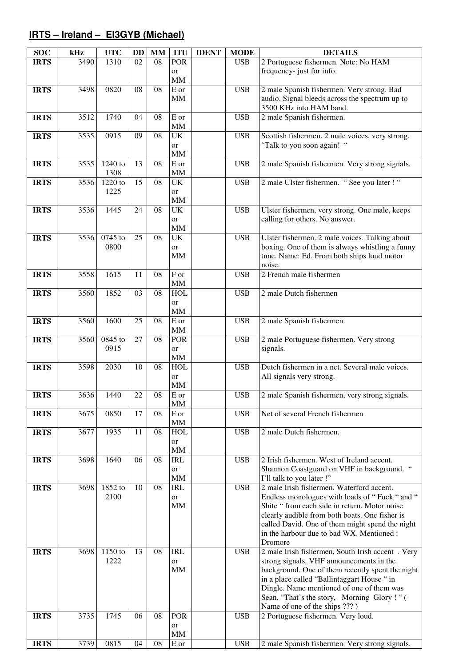# **IRTS – Ireland – EI3GYB (Michael)**

| <b>SOC</b>  | kHz  | <b>UTC</b>      | <b>DD</b> | <b>MM</b>       | <b>ITU</b>             | <b>IDENT</b> | <b>MODE</b> | <b>DETAILS</b>                                   |
|-------------|------|-----------------|-----------|-----------------|------------------------|--------------|-------------|--------------------------------------------------|
| <b>IRTS</b> | 3490 | 1310            | 02        | 08              | <b>POR</b>             |              | <b>USB</b>  | 2 Portuguese fishermen. Note: No HAM             |
|             |      |                 |           |                 | or                     |              |             | frequency- just for info.                        |
|             |      |                 |           |                 | <b>MM</b>              |              |             |                                                  |
| <b>IRTS</b> | 3498 | 0820            | 08        | $0\overline{8}$ | $\overline{E}$ or      |              | <b>USB</b>  | 2 male Spanish fishermen. Very strong. Bad       |
|             |      |                 |           |                 | <b>MM</b>              |              |             | audio. Signal bleeds across the spectrum up to   |
|             |      |                 |           |                 |                        |              |             | 3500 KHz into HAM band.                          |
| <b>IRTS</b> | 3512 | 1740            | 04        | 08              | E or                   |              | <b>USB</b>  | 2 male Spanish fishermen.                        |
|             |      |                 |           |                 | <b>MM</b>              |              |             |                                                  |
| <b>IRTS</b> | 3535 | 0915            | 09        | 08              | <b>UK</b>              |              | <b>USB</b>  | Scottish fishermen. 2 male voices, very strong.  |
|             |      |                 |           |                 | or                     |              |             | "Talk to you soon again! "                       |
|             |      |                 |           |                 | MM                     |              |             |                                                  |
| <b>IRTS</b> | 3535 | 1240 to         | 13        | 08              | E or                   |              | <b>USB</b>  | 2 male Spanish fishermen. Very strong signals.   |
|             |      | 1308            |           |                 | <b>MM</b>              |              |             |                                                  |
| <b>IRTS</b> | 3536 | 1220 to<br>1225 | 15        | 08              | <b>UK</b>              |              | <b>USB</b>  | 2 male Ulster fishermen. "See you later ! "      |
|             |      |                 |           |                 | or<br><b>MM</b>        |              |             |                                                  |
| <b>IRTS</b> | 3536 | 1445            | 24        | 08              | <b>UK</b>              |              | <b>USB</b>  | Ulster fishermen, very strong. One male, keeps   |
|             |      |                 |           |                 | or                     |              |             | calling for others. No answer.                   |
|             |      |                 |           |                 | <b>MM</b>              |              |             |                                                  |
| <b>IRTS</b> | 3536 | 0745 to         | 25        | 08              | <b>UK</b>              |              | <b>USB</b>  | Ulster fishermen. 2 male voices. Talking about   |
|             |      | 0800            |           |                 | or                     |              |             | boxing. One of them is always whistling a funny  |
|             |      |                 |           |                 | <b>MM</b>              |              |             | tune. Name: Ed. From both ships loud motor       |
|             |      |                 |           |                 |                        |              |             | noise.                                           |
| <b>IRTS</b> | 3558 | 1615            | 11        | 08              | $\overline{F}$ or      |              | <b>USB</b>  | 2 French male fishermen                          |
|             |      |                 |           |                 | <b>MM</b>              |              |             |                                                  |
| <b>IRTS</b> | 3560 | 1852            | 03        | 08              | <b>HOL</b>             |              | <b>USB</b>  | 2 male Dutch fishermen                           |
|             |      |                 |           |                 | or                     |              |             |                                                  |
|             |      |                 |           |                 | <b>MM</b>              |              |             |                                                  |
| <b>IRTS</b> | 3560 | 1600            | 25        | 08              | $\overline{E}$ or      |              | <b>USB</b>  | 2 male Spanish fishermen.                        |
|             |      |                 |           |                 | MM                     |              |             |                                                  |
| <b>IRTS</b> | 3560 | 0845 to         | 27        | 08              | <b>POR</b>             |              | <b>USB</b>  | 2 male Portuguese fishermen. Very strong         |
|             |      | 0915            |           |                 | or                     |              |             | signals.                                         |
|             |      |                 |           |                 | MM                     |              |             |                                                  |
| <b>IRTS</b> | 3598 | 2030            | 10        | 08              | <b>HOL</b>             |              | <b>USB</b>  | Dutch fishermen in a net. Several male voices.   |
|             |      |                 |           |                 | or                     |              |             | All signals very strong.                         |
|             |      |                 |           |                 | <b>MM</b>              |              |             |                                                  |
| <b>IRTS</b> | 3636 | 1440            | 22        | 08              | ${\bf E}$ or           |              | <b>USB</b>  | 2 male Spanish fishermen, very strong signals.   |
|             |      |                 | 17        |                 | $\mathbf{M}\mathbf{M}$ |              | <b>USB</b>  | Net of several French fishermen                  |
| <b>IRTS</b> | 3675 | 0850            |           | 08              | $\rm F$ or<br>MM       |              |             |                                                  |
| <b>IRTS</b> | 3677 | 1935            | 11        | 08              | <b>HOL</b>             |              | <b>USB</b>  | 2 male Dutch fishermen.                          |
|             |      |                 |           |                 | or                     |              |             |                                                  |
|             |      |                 |           |                 | MM                     |              |             |                                                  |
| <b>IRTS</b> | 3698 | 1640            | 06        | 08              | <b>IRL</b>             |              | <b>USB</b>  | 2 Irish fishermen. West of Ireland accent.       |
|             |      |                 |           |                 | or                     |              |             | Shannon Coastguard on VHF in background.         |
|             |      |                 |           |                 | <b>MM</b>              |              |             | I'll talk to you later !"                        |
| <b>IRTS</b> | 3698 | 1852 to         | 10        | 08              | <b>IRL</b>             |              | <b>USB</b>  | 2 male Irish fishermen. Waterford accent.        |
|             |      | 2100            |           |                 | or                     |              |             | Endless monologues with loads of "Fuck " and "   |
|             |      |                 |           |                 | <b>MM</b>              |              |             | Shite "from each side in return. Motor noise     |
|             |      |                 |           |                 |                        |              |             | clearly audible from both boats. One fisher is   |
|             |      |                 |           |                 |                        |              |             | called David. One of them might spend the night  |
|             |      |                 |           |                 |                        |              |             | in the harbour due to bad WX. Mentioned :        |
|             |      |                 |           |                 |                        |              |             | Dromore                                          |
| <b>IRTS</b> | 3698 | 1150 to         | 13        | 08              | <b>IRL</b>             |              | <b>USB</b>  | 2 male Irish fishermen, South Irish accent. Very |
|             |      | 1222            |           |                 | or                     |              |             | strong signals. VHF announcements in the         |
|             |      |                 |           |                 | MM                     |              |             | background. One of them recently spent the night |
|             |      |                 |           |                 |                        |              |             | in a place called "Ballintaggart House " in      |
|             |      |                 |           |                 |                        |              |             | Dingle. Name mentioned of one of them was        |
|             |      |                 |           |                 |                        |              |             | Sean. "That's the story, Morning Glory!" (       |
|             |      |                 |           |                 |                        |              |             | Name of one of the ships ???)                    |
| <b>IRTS</b> | 3735 | 1745            | 06        | 08              | <b>POR</b>             |              | <b>USB</b>  | 2 Portuguese fishermen. Very loud.               |
|             |      |                 |           |                 | or                     |              |             |                                                  |
|             |      |                 |           |                 | MM                     |              |             |                                                  |
| <b>IRTS</b> | 3739 | 0815            | 04        | 08              | E or                   |              | <b>USB</b>  | 2 male Spanish fishermen. Very strong signals.   |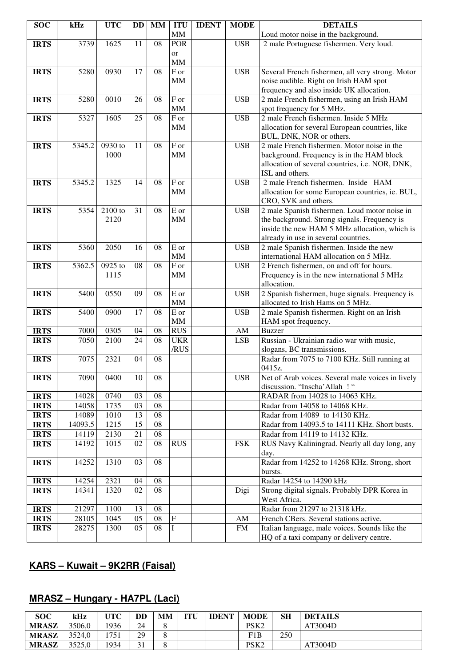| <b>SOC</b>  | kHz     | <b>UTC</b> | <b>DD</b> | <b>MM</b>       | <b>ITU</b>        | <b>IDENT</b> | <b>MODE</b> | <b>DETAILS</b>                                             |
|-------------|---------|------------|-----------|-----------------|-------------------|--------------|-------------|------------------------------------------------------------|
|             |         |            |           |                 | $\text{MM}$       |              |             | Loud motor noise in the background.                        |
| <b>IRTS</b> | 3739    | 1625       | 11        | 08              | <b>POR</b>        |              | <b>USB</b>  | 2 male Portuguese fishermen. Very loud.                    |
|             |         |            |           |                 | <sub>or</sub>     |              |             |                                                            |
|             |         |            |           |                 | <b>MM</b>         |              |             |                                                            |
| <b>IRTS</b> | 5280    | 0930       | 17        | 08              | F or              |              | <b>USB</b>  | Several French fishermen, all very strong. Motor           |
|             |         |            |           |                 | <b>MM</b>         |              |             | noise audible. Right on Irish HAM spot                     |
|             |         |            |           |                 |                   |              |             | frequency and also inside UK allocation.                   |
| <b>IRTS</b> | 5280    | 0010       | 26        | 08              | F or              |              | <b>USB</b>  | 2 male French fishermen, using an Irish HAM                |
|             |         |            |           |                 | <b>MM</b>         |              |             | spot frequency for 5 MHz.                                  |
| <b>IRTS</b> | 5327    | 1605       | 25        | 08              | F or              |              | <b>USB</b>  | 2 male French fishermen. Inside 5 MHz                      |
|             |         |            |           |                 | <b>MM</b>         |              |             | allocation for several European countries, like            |
|             |         |            |           |                 |                   |              |             | BUL, DNK, NOR or others.                                   |
| <b>IRTS</b> | 5345.2  | 0930 to    | 11        | 08              | $\overline{F}$ or |              | <b>USB</b>  | 2 male French fishermen. Motor noise in the                |
|             |         | 1000       |           |                 | <b>MM</b>         |              |             | background. Frequency is in the HAM block                  |
|             |         |            |           |                 |                   |              |             | allocation of several countries, i.e. NOR, DNK,            |
|             |         |            |           |                 |                   |              |             | ISL and others.                                            |
| <b>IRTS</b> | 5345.2  | 1325       | 14        | 08              | F or              |              | <b>USB</b>  | 2 male French fishermen. Inside HAM                        |
|             |         |            |           |                 | MM                |              |             | allocation for some European countries, ie. BUL,           |
|             |         |            |           |                 |                   |              |             | CRO, SVK and others.                                       |
| <b>IRTS</b> | 5354    | $2100$ to  | 31        | 08              | E or              |              | <b>USB</b>  | 2 male Spanish fishermen. Loud motor noise in              |
|             |         | 2120       |           |                 | <b>MM</b>         |              |             | the background. Strong signals. Frequency is               |
|             |         |            |           |                 |                   |              |             | inside the new HAM 5 MHz allocation, which is              |
|             |         |            |           |                 |                   |              |             | already in use in several countries.                       |
| <b>IRTS</b> | 5360    | 2050       | 16        | 08              | E or              |              | <b>USB</b>  | 2 male Spanish fishermen. Inside the new                   |
|             |         | 0925 to    | 08        | 08              | MM<br>F or        |              | <b>USB</b>  | international HAM allocation on 5 MHz.                     |
| <b>IRTS</b> | 5362.5  | 1115       |           |                 | <b>MM</b>         |              |             | 2 French fishermen, on and off for hours.                  |
|             |         |            |           |                 |                   |              |             | Frequency is in the new international 5 MHz<br>allocation. |
| <b>IRTS</b> | 5400    | 0550       | 09        | 08              | E or              |              | <b>USB</b>  | 2 Spanish fishermen, huge signals. Frequency is            |
|             |         |            |           |                 | <b>MM</b>         |              |             | allocated to Irish Hams on 5 MHz.                          |
| <b>IRTS</b> | 5400    | 0900       | 17        | 08              | $\overline{E}$ or |              | <b>USB</b>  | 2 male Spanish fishermen. Right on an Irish                |
|             |         |            |           |                 | <b>MM</b>         |              |             | HAM spot frequency.                                        |
| <b>IRTS</b> | 7000    | 0305       | 04        | 08              | <b>RUS</b>        |              | AM          | <b>Buzzer</b>                                              |
| <b>IRTS</b> | 7050    | 2100       | 24        | 08              | <b>UKR</b>        |              | <b>LSB</b>  | Russian - Ukrainian radio war with music,                  |
|             |         |            |           |                 | /RUS              |              |             | slogans, BC transmissions.                                 |
| <b>IRTS</b> | 7075    | 2321       | 04        | 08              |                   |              |             | Radar from 7075 to 7100 KHz. Still running at              |
|             |         |            |           |                 |                   |              |             | 0415z.                                                     |
| <b>IRTS</b> | 7090    | 0400       | 10        | $\overline{08}$ |                   |              | USB.        | Net of Arab voices. Several male voices in lively          |
|             |         |            |           |                 |                   |              |             | discussion. "Inscha' Allah !"                              |
| <b>IRTS</b> | 14028   | 0740       | 03        | 08              |                   |              |             | RADAR from 14028 to 14063 KHz.                             |
| <b>IRTS</b> | 14058   | 1735       | 03        | 08              |                   |              |             | Radar from 14058 to 14068 KHz.                             |
| <b>IRTS</b> | 14089   | 1010       | 13        | 08              |                   |              |             | Radar from 14089 to 14130 KHz.                             |
| <b>IRTS</b> | 14093.5 | 1215       | 15        | 08              |                   |              |             | Radar from 14093.5 to 14111 KHz. Short busts.              |
| <b>IRTS</b> | 14119   | 2130       | 21        | 08              |                   |              |             | Radar from 14119 to 14132 KHz.                             |
| <b>IRTS</b> | 14192   | 1015       | 02        | 08              | <b>RUS</b>        |              | <b>FSK</b>  | RUS Navy Kaliningrad. Nearly all day long, any             |
|             |         |            |           |                 |                   |              |             | day.                                                       |
| <b>IRTS</b> | 14252   | 1310       | 03        | 08              |                   |              |             | Radar from 14252 to 14268 KHz. Strong, short               |
|             |         |            |           |                 |                   |              |             | bursts.                                                    |
| <b>IRTS</b> | 14254   | 2321       | 04        | 08              |                   |              |             | Radar 14254 to 14290 kHz                                   |
| <b>IRTS</b> | 14341   | 1320       | 02        | 08              |                   |              | Digi        | Strong digital signals. Probably DPR Korea in              |
|             |         |            |           |                 |                   |              |             | West Africa.                                               |
| <b>IRTS</b> | 21297   | 1100       | 13        | 08              |                   |              |             | Radar from 21297 to 21318 kHz.                             |
| <b>IRTS</b> | 28105   | 1045       | 05        | 08              | $\mathbf F$       |              | AM          | French CBers. Several stations active.                     |
| <b>IRTS</b> | 28275   | 1300       | 05        | 08              | I                 |              | <b>FM</b>   | Italian language, male voices. Sounds like the             |
|             |         |            |           |                 |                   |              |             | HQ of a taxi company or delivery centre.                   |

# **KARS – Kuwait – 9K2RR (Faisal)**

# **MRASZ – Hungary - HA7PL (Laci)**

| <b>SOC</b>   | kHz    | UTC  | <b>DD</b>      | MМ     | <b>TTI</b><br>. . | <b>IDENT</b> | <b>MODE</b>      | <b>SH</b> | <b>DETAILS</b> |
|--------------|--------|------|----------------|--------|-------------------|--------------|------------------|-----------|----------------|
| <b>MRASZ</b> | 3506.0 | 1936 | 24             | C<br>Õ |                   |              | PSK <sub>2</sub> |           | AT3004D        |
| <b>MRASZ</b> | 3524.0 | 751  | 29             | ⌒      |                   |              | F1B              | 250       |                |
| <b>MRASZ</b> | 3525.0 | 1934 | $\sim$ 1<br>JІ | ⌒<br>о |                   |              | PSK <sub>2</sub> |           | AT3004D        |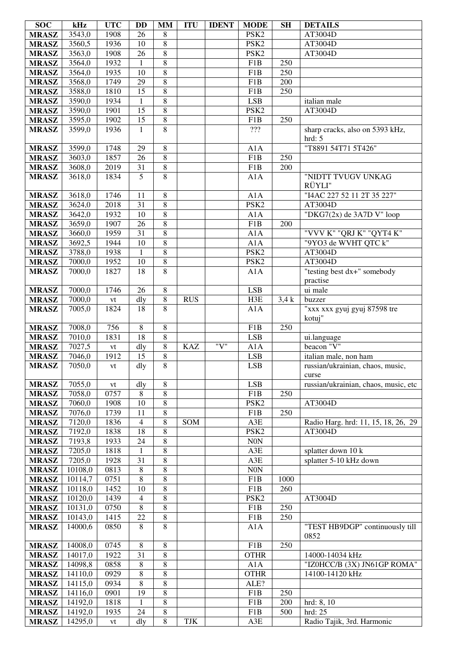| <b>SOC</b>   | kHz              | <b>UTC</b>    | <b>DD</b>       | <b>MM</b>                        | <b>ITU</b> | <b>IDENT</b> | <b>MODE</b>       | <b>SH</b>        | <b>DETAILS</b>                                            |
|--------------|------------------|---------------|-----------------|----------------------------------|------------|--------------|-------------------|------------------|-----------------------------------------------------------|
| <b>MRASZ</b> | 3543,0           | 1908          | 26              | 8                                |            |              | PSK <sub>2</sub>  |                  | AT3004D                                                   |
| <b>MRASZ</b> | 3560,5           | 1936          | 10              | $\overline{8}$                   |            |              | PSK <sub>2</sub>  |                  | AT3004D                                                   |
| <b>MRASZ</b> | 3563,0           | 1908          | 26              | $\,8\,$                          |            |              | PSK <sub>2</sub>  |                  | AT3004D                                                   |
| <b>MRASZ</b> | 3564,0           | 1932          | 1               | $\,8\,$                          |            |              | F1B               | 250              |                                                           |
| <b>MRASZ</b> | 3564,0           | 1935          | 10              | $\overline{8}$                   |            |              | F1B               | 250              |                                                           |
| <b>MRASZ</b> | 3568,0           | 1749          | 29              | $\,8\,$                          |            |              | F1B               | 200              |                                                           |
| <b>MRASZ</b> | 3588,0           | 1810          | $\overline{15}$ | $\overline{8}$                   |            |              | F1B               | 250              |                                                           |
| <b>MRASZ</b> | 3590,0           | 1934          | 1               | $\,8\,$                          |            |              | <b>LSB</b>        |                  | italian male                                              |
| <b>MRASZ</b> | 3590,0           | 1901          | $\overline{15}$ | $\overline{8}$                   |            |              | PSK <sub>2</sub>  |                  | AT3004D                                                   |
| <b>MRASZ</b> | 3595,0           | 1902          | 15              | $\,8\,$                          |            |              | F1B               | 250              |                                                           |
| <b>MRASZ</b> | 3599,0           | 1936          | 1               | $\overline{8}$                   |            |              | $\overline{???}$  |                  | sharp cracks, also on 5393 kHz,                           |
|              |                  |               |                 |                                  |            |              |                   |                  | hrd: 5                                                    |
| <b>MRASZ</b> | 3599,0           | 1748          | 29              | $\,8\,$                          |            |              | A1A               |                  | "T8891 54T71 5T426"                                       |
| <b>MRASZ</b> | 3603,0           | 1857          | 26              | $\,8\,$                          |            |              | F1B               | 250              |                                                           |
| <b>MRASZ</b> | 3608,0           | 2019          | 31              | $\,8\,$                          |            |              | F1B               | 200              |                                                           |
| <b>MRASZ</b> | 3618,0           | 1834          | 5               | $\overline{8}$                   |            |              | A1A               |                  | "NIDTT TVUGV UNKAG                                        |
|              |                  |               |                 |                                  |            |              |                   |                  | RÜYLI"                                                    |
| <b>MRASZ</b> | 3618,0           | 1746          | 11              | $\,8\,$                          |            |              | A1A               |                  | "I4AC 227 52 11 2T 35 227"                                |
| <b>MRASZ</b> | 3624,0           | 2018          | 31              | $\,8\,$                          |            |              | PSK <sub>2</sub>  |                  | AT3004D                                                   |
| <b>MRASZ</b> | 3642,0           | 1932          | 10              | $\,8\,$                          |            |              | A1A               |                  | "DKG7 $(2x)$ de 3A7D V" loop                              |
| <b>MRASZ</b> | 3659,0           | 1907          | 26              | $\,8\,$                          |            |              | F1B               | 200              |                                                           |
| <b>MRASZ</b> | 3660,0           | 1959          | $\overline{31}$ | $\,8\,$                          |            |              | A1A               |                  | "VVV K" "QRJ K" "QYT4 K"                                  |
| <b>MRASZ</b> | 3692,5           | 1944          | 10              | $\,8\,$                          |            |              | A1A               |                  | "9YO3 de WVHT QTC k"                                      |
| <b>MRASZ</b> | 3788,0           | 1938          | 1               | $\,8\,$                          |            |              | PSK <sub>2</sub>  |                  | AT3004D                                                   |
| <b>MRASZ</b> | 7000,0           | 1952          | 10              | $\,8\,$                          |            |              | PSK <sub>2</sub>  |                  | AT3004D                                                   |
| <b>MRASZ</b> | 7000,0           | 1827          | 18              | 8                                |            |              | A1A               |                  | "testing best dx+" somebody                               |
|              |                  |               |                 |                                  |            |              |                   |                  | practise                                                  |
| <b>MRASZ</b> | 7000,0           | 1746          | 26              | $\,8\,$                          |            |              | <b>LSB</b>        |                  | ui male                                                   |
| <b>MRASZ</b> | 7000,0           | vt            | dly             | $\,8\,$                          | <b>RUS</b> |              | H3E               | 3,4k             | buzzer                                                    |
| <b>MRASZ</b> | 7005,0           | 1824          | 18              | 8                                |            |              | A1A               |                  | "xxx xxx gyuj gyuj 87598 tre                              |
|              |                  |               |                 |                                  |            |              |                   |                  | kotuj"                                                    |
| <b>MRASZ</b> | 7008,0           | 756           | $\overline{8}$  | $\overline{8}$                   |            |              | F1B               | $\overline{250}$ |                                                           |
| <b>MRASZ</b> | 7010,0           | 1831          | $\overline{18}$ | $\overline{8}$                   | <b>KAZ</b> | "V"          | <b>LSB</b>        |                  | ui.language<br>beacon "V"                                 |
| <b>MRASZ</b> | 7027,5<br>7046,0 | vt            | dly<br>15       | $\overline{8}$<br>$\overline{8}$ |            |              | A1A               |                  |                                                           |
| <b>MRASZ</b> | 7050,0           | 1912          | dly             | $\overline{8}$                   |            |              | LSB<br><b>LSB</b> |                  | italian male, non ham<br>russian/ukrainian, chaos, music, |
| <b>MRASZ</b> |                  | vt            |                 |                                  |            |              |                   |                  | curse                                                     |
| <b>MRASZ</b> | 7055,0           | vt            | dly             | 8                                |            |              | <b>LSB</b>        |                  | russian/ukrainian, chaos, music, etc                      |
| <b>MRASZ</b> | 7058,0           | 0757          | 8               | $\,8$                            |            |              | F1B               | 250              |                                                           |
| <b>MRASZ</b> | 7060,0           | 1908          | 10              | $\,8\,$                          |            |              | PSK <sub>2</sub>  |                  | AT3004D                                                   |
| <b>MRASZ</b> | 7076,0           | 1739          | 11              | $\,8\,$                          |            |              | F1B               | 250              |                                                           |
| <b>MRASZ</b> | 7120,0           | 1836          | $\overline{4}$  | $\,8\,$                          | SOM        |              | A3E               |                  | Radio Harg. hrd: 11, 15, 18, 26, 29                       |
| <b>MRASZ</b> | 7192,0           | 1838          | 18              | $\,8\,$                          |            |              | PSK <sub>2</sub>  |                  | AT3004D                                                   |
| <b>MRASZ</b> | 7193,8           | 1933          | 24              | $\,8\,$                          |            |              | N0N               |                  |                                                           |
| <b>MRASZ</b> | 7205,0           | 1818          | $\mathbf{1}$    | $\,8\,$                          |            |              | A3E               |                  | splatter down 10 k                                        |
| <b>MRASZ</b> | 7205,0           | 1928          | 31              | $\,8\,$                          |            |              | A3E               |                  | splatter 5-10 kHz down                                    |
| <b>MRASZ</b> | 10108,0          | 0813          | $\,8\,$         | $\,8\,$                          |            |              | N0N               |                  |                                                           |
| <b>MRASZ</b> | 10114,7          | 0751          | $\,8\,$         | $\,8\,$                          |            |              | F1B               | 1000             |                                                           |
| <b>MRASZ</b> | 10118,0          | 1452          | 10              | $\,8\,$                          |            |              | F1B               | 260              |                                                           |
| <b>MRASZ</b> | 10120,0          | 1439          | $\overline{4}$  | $\,8\,$                          |            |              | PSK <sub>2</sub>  |                  | AT3004D                                                   |
| <b>MRASZ</b> | 10131,0          | 0750          | $\,8\,$         | $\,8\,$                          |            |              | F1B               | 250              |                                                           |
| <b>MRASZ</b> | 10143,0          | 1415          | 22              | $\,8\,$                          |            |              | F1B               | 250              |                                                           |
| <b>MRASZ</b> | 14000,6          | 0850          | 8               | $\overline{8}$                   |            |              | A1A               |                  | "TEST HB9DGP" continuously till                           |
|              |                  |               |                 |                                  |            |              |                   |                  | 0852                                                      |
| <b>MRASZ</b> | 14008,0          | 0745          | $\,8$           | $\,8\,$                          |            |              | F1B               | 250              |                                                           |
| <b>MRASZ</b> | 14017,0          | 1922          | 31              | $\,8\,$                          |            |              | <b>OTHR</b>       |                  | 14000-14034 kHz                                           |
| <b>MRASZ</b> | 14098,8          | 0858          | 8               | $\,8\,$                          |            |              | A1A               |                  | "IZ0HCC/B (3X) JN61GP ROMA"                               |
| <b>MRASZ</b> | 14110,0          | 0929          | $\,8\,$         | $\,8$                            |            |              | <b>OTHR</b>       |                  | 14100-14120 kHz                                           |
| <b>MRASZ</b> | 14115,0          | 0934          | $\,8$           | $\,8\,$                          |            |              | ALE?              |                  |                                                           |
| <b>MRASZ</b> | 14116,0          | 0901          | 19              | $\,8$                            |            |              | F1B               | 250              |                                                           |
| <b>MRASZ</b> | 14192,0          | 1818          | 1               | $\,8\,$                          |            |              | F1B               | 200              | hrd: 8, 10                                                |
| <b>MRASZ</b> | 14192,0          | 1935          | 24              | $\,8\,$                          |            |              | F1B               | 500              | hrd: 25                                                   |
| <b>MRASZ</b> | 14295,0          | $\mathrm{vt}$ | dly             | 8                                | TJK        |              | A3E               |                  | Radio Tajik, 3rd. Harmonic                                |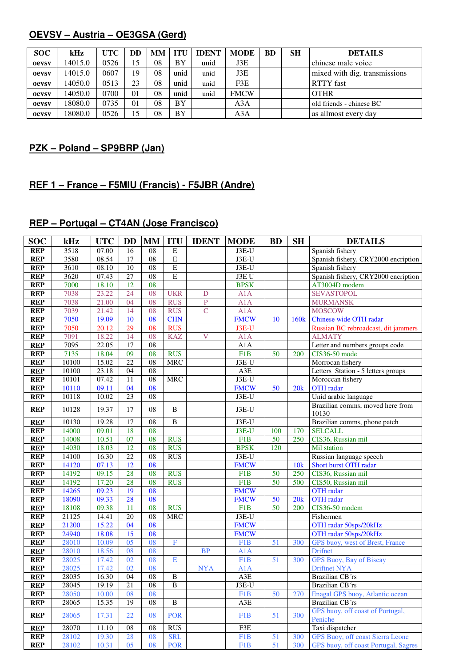#### **OEVSV – Austria – OE3GSA (Gerd)**

| <b>SOC</b> | kHz     | <b>UTC</b> | DD | <b>MM</b> | <b>ITU</b> | <b>IDENT</b> | <b>MODE</b> | <b>BD</b> | <b>SH</b> | <b>DETAILS</b>                |
|------------|---------|------------|----|-----------|------------|--------------|-------------|-----------|-----------|-------------------------------|
| oevsv      | 14015.0 | 0526       | 15 | 08        | BY         | unid         | J3E         |           |           | chinese male voice            |
| oevsv      | 14015.0 | 0607       | 19 | 08        | unid       | unid         | J3E         |           |           | mixed with dig. transmissions |
| oevsv      | 14050.0 | 0513       | 23 | 08        | unid       | unid         | F3E         |           |           | <b>RTTY</b> fast              |
| oevsv      | 14050.0 | 0700       | 01 | 08        | unid       | unid         | <b>FMCW</b> |           |           | <b>OTHR</b>                   |
| oevsv      | 18080.0 | 0735       | 01 | 08        | BY         |              | A3A         |           |           | old friends - chinese BC      |
| oevsv      | 18080.0 | 0526       | 15 | 08        | BY         |              | A3A         |           |           | as allmost every day          |

#### **PZK – Poland – SP9BRP (Jan)**

#### **REF 1 – France – F5MIU (Francis) - F5JBR (Andre)**

## **REP – Portugal – CT4AN (Jose Francisco)**

| <b>SOC</b> | kHz   | <b>UTC</b> | <b>DD</b>       | <b>MM</b>       | <b>ITU</b>              | <b>IDENT</b>            | <b>MODE</b>      | <b>BD</b> | <b>SH</b>        | <b>DETAILS</b>                              |
|------------|-------|------------|-----------------|-----------------|-------------------------|-------------------------|------------------|-----------|------------------|---------------------------------------------|
| <b>REP</b> | 3518  | 07.00      | 16              | 08              | ${\bf E}$               |                         | $J3E-U$          |           |                  | Spanish fishery                             |
| <b>REP</b> | 3580  | 08.54      | 17              | 08              | E                       |                         | $J3E-U$          |           |                  | Spanish fishery, CRY2000 encription         |
| <b>REP</b> | 3610  | 08.10      | 10              | 08              | $\overline{E}$          |                         | $J3E-U$          |           |                  | Spanish fishery                             |
| <b>REP</b> | 3620  | 07.43      | 27              | 08              | $\overline{E}$          |                         | J3EU             |           |                  | Spanish fishery, CRY2000 encription         |
| <b>REP</b> | 7000  | 18.10      | 12              | 08              |                         |                         | <b>BPSK</b>      |           |                  | AT3004D modem                               |
| <b>REP</b> | 7038  | 23.22      | 24              | 08              | <b>UKR</b>              | D                       | A1A              |           |                  | <b>SEVASTOPOL</b>                           |
| <b>REP</b> | 7038  | 21.00      | 04              | 08              | <b>RUS</b>              | $\overline{\mathbf{P}}$ | A1A              |           |                  | <b>MURMANSK</b>                             |
| <b>REP</b> | 7039  | 21.42      | 14              | 08              | <b>RUS</b>              | $\overline{C}$          | A1A              |           |                  | <b>MOSCOW</b>                               |
| <b>REP</b> | 7050  | 19.09      | 10              | $\overline{08}$ | <b>CHN</b>              |                         | <b>FMCW</b>      | 10        | 160 <sub>k</sub> | Chinese wide OTH radar                      |
| <b>REP</b> | 7050  | 20.12      | 29              | 08              | <b>RUS</b>              |                         | J3E-U            |           |                  | Russian BC rebroadcast, dit jammers         |
| <b>REP</b> | 7091  | 18.22      | 14              | 08              | <b>KAZ</b>              | $\overline{V}$          | A1A              |           |                  | <b>ALMATY</b>                               |
| <b>REP</b> | 7095  | 22.05      | 17              | $\overline{08}$ |                         |                         | A1A              |           |                  | Letter and numbers groups code              |
| <b>REP</b> | 7135  | 18.04      | 09              | 08              | <b>RUS</b>              |                         | F1B              | 50        | 200              | <b>CIS36-50</b> mode                        |
| <b>REP</b> | 10100 | 15.02      | $\overline{22}$ | 08              | <b>MRC</b>              |                         | $J3E-U$          |           |                  | Morrocan fishery                            |
| <b>REP</b> | 10100 | 23.18      | 04              | 08              |                         |                         | A3E              |           |                  | Letters Station - 5 letters groups          |
| <b>REP</b> | 10101 | 07.42      | 11              | 08              | <b>MRC</b>              |                         | $J3E-U$          |           |                  | Moroccan fishery                            |
| <b>REP</b> | 10110 | 09.11      | 04              | 08              |                         |                         | <b>FMCW</b>      | 50        | 20k              | <b>OTH</b> radar                            |
| <b>REP</b> | 10118 | 10.02      | 23              | 08              |                         |                         | $J3E-U$          |           |                  | Unid arabic language                        |
| <b>REP</b> | 10128 | 19.37      | 17              | 08              | $\, {\bf B}$            |                         | J3E-U            |           |                  | Brazilian comms, moved here from<br>10130   |
| <b>REP</b> | 10130 | 19.28      | 17              | 08              | $\, {\bf B}$            |                         | J3E-U            |           |                  | Brazilian comms, phone patch                |
| <b>REP</b> | 14000 | 09.01      | 18              | 08              |                         |                         | $J3E-U$          | 100       | 170              | <b>SELCALL</b>                              |
| <b>REP</b> | 14008 | 10.51      | 07              | 08              | <b>RUS</b>              |                         | F <sub>1</sub> B | 50        | 250              | CIS36, Russian mil                          |
| <b>REP</b> | 14030 | 18.03      | $\overline{12}$ | 08              | <b>RUS</b>              |                         | <b>BPSK</b>      | 120       |                  | Mil station                                 |
| <b>REP</b> | 14100 | 16.30      | $\overline{22}$ | 08              | <b>RUS</b>              |                         | $J3E-U$          |           |                  | Russian language speech                     |
| <b>REP</b> | 14120 | 07.13      | 12              | 08              |                         |                         | <b>FMCW</b>      |           | 10k              | Short burst OTH radar                       |
| <b>REP</b> | 14192 | 09.15      | 28              | 08              | <b>RUS</b>              |                         | F1B              | 50        | 250              | CIS36, Russian mil                          |
| <b>REP</b> | 14192 | 17.20      | 28              | 08              | <b>RUS</b>              |                         | F1B              | 50        | 500              | CIS50, Russian mil                          |
| <b>REP</b> | 14265 | 09.23      | 19              | 08              |                         |                         | <b>FMCW</b>      |           |                  | <b>OTH</b> radar                            |
| <b>REP</b> | 18090 | 09.33      | 28              | 08              |                         |                         | <b>FMCW</b>      | 50        | 20k              | <b>OTH</b> radar                            |
| <b>REP</b> | 18108 | 09.38      | 11              | 08              | <b>RUS</b>              |                         | F1B              | 50        | 200              | CIS36-50 modem                              |
| <b>REP</b> | 21125 | 14.41      | 20              | 08              | <b>MRC</b>              |                         | $J3E-U$          |           |                  | Fishermen                                   |
| <b>REP</b> | 21200 | 15.22      | $\overline{04}$ | $\overline{08}$ |                         |                         | <b>FMCW</b>      |           |                  | OTH radar 50sps/20kHz                       |
| <b>REP</b> | 24940 | 18.08      | 15              | 08              |                         |                         | <b>FMCW</b>      |           |                  | OTH radar 50sps/20kHz                       |
| <b>REP</b> | 28010 | 10.09      | $\overline{05}$ | 08              | $\overline{\mathrm{F}}$ |                         | F1B              | 51        | 300              | GPS buoy, west of Brest, France             |
| <b>REP</b> | 28010 | 18.56      | 08              | 08              |                         | <b>BP</b>               | A1A              |           |                  | <b>Drifnet</b>                              |
| <b>REP</b> | 28025 | 17.42      | 02              | 08              | E                       |                         | F <sub>1</sub> B | 51        | 300              | GPS Buoy, Bay of Biscay                     |
| <b>REP</b> | 28025 | 17.42      | 02              | 08              |                         | <b>NYA</b>              | A1A              |           |                  | <b>Driftnet NYA</b>                         |
| <b>REP</b> | 28035 | 16.30      | $\overline{04}$ | 08              | $\, {\bf B}$            |                         | A3E              |           |                  | <b>Brazilian CB</b> 'rs                     |
| <b>REP</b> | 28045 | 19.19      | $\overline{21}$ | 08              | $\overline{B}$          |                         | $J3E-U$          |           |                  | <b>Brazilian CB</b> 'rs                     |
| <b>REP</b> | 28050 | 10.00      | 08              | 08              |                         |                         | F <sub>1</sub> B | 50        | 270              | Enagal GPS buoy, Atlantic ocean             |
| <b>REP</b> | 28065 | 15.35      | 19              | 08              | $\overline{B}$          |                         | A3E              |           |                  | <b>Brazilian CB</b> 'rs                     |
| <b>REP</b> | 28065 | 17.31      | 22              | 08              | <b>POR</b>              |                         | F <sub>1</sub> B | 51        | 300              | GPS buoy, off coast of Portugal,<br>Peniche |
| <b>REP</b> | 28070 | 11.10      | $\overline{08}$ | $\overline{08}$ | RUS                     |                         | F3E              |           |                  | Taxi dispatcher                             |
| <b>REP</b> | 28102 | 19.30      | 28              | 08              | <b>SRL</b>              |                         | F <sub>1</sub> B | 51        | 300              | GPS Buoy, off coast Sierra Leone            |
| <b>REP</b> | 28102 | 10.31      | 05              | 08              | <b>POR</b>              |                         | F <sub>1</sub> B | 51        | 300              | GPS buoy, off coast Portugal, Sagres        |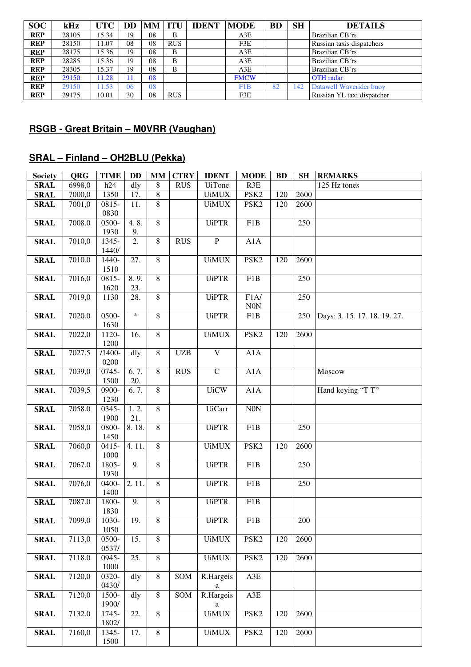| <b>SOC</b> | kHz   | <b>UTC</b> | DD | <b>MM ITU</b> |            | <b>IDENT</b> | <b>MODE</b> | <b>BD</b> | <b>SH</b> | <b>DETAILS</b>             |
|------------|-------|------------|----|---------------|------------|--------------|-------------|-----------|-----------|----------------------------|
| <b>REP</b> | 28105 | 15.34      | 19 | 08            | B          |              | A3E         |           |           | Brazilian CB'rs            |
| <b>REP</b> | 28150 | 11.07      | 08 | 08            | <b>RUS</b> |              | F3E         |           |           | Russian taxis dispatchers  |
| <b>REP</b> | 28175 | 15.36      | 19 | 08            | B          |              | A3E         |           |           | Brazilian CB'rs            |
| <b>REP</b> | 28285 | 15.36      | 19 | 08            | B          |              | A3E         |           |           | Brazilian CB'rs            |
| <b>REP</b> | 28305 | 15.37      | 19 | 08            | B          |              | A3E         |           |           | Brazilian CB'rs            |
| <b>REP</b> | 29150 | 11.28      | 11 | 08            |            |              | <b>FMCW</b> |           |           | <b>OTH</b> radar           |
| <b>REP</b> | 29150 | 11.53      | 06 | 08            |            |              | F1B         | 82        | 142       | Datawell Waverider buoy    |
| <b>REP</b> | 29175 | 10.01      | 30 | 08            | <b>RUS</b> |              | F3E         |           |           | Russian YL taxi dispatcher |

#### **RSGB - Great Britain – M0VRR (Vaughan)**

## **SRAL – Finland – OH2BLU (Pekka)**

| <b>Society</b> | <b>QRG</b> | <b>TIME</b>                 | <b>DD</b> | <b>MM</b>      | <b>CTRY</b> | <b>IDENT</b>            | <b>MODE</b>        | <b>BD</b> | <b>SH</b> | <b>REMARKS</b>               |
|----------------|------------|-----------------------------|-----------|----------------|-------------|-------------------------|--------------------|-----------|-----------|------------------------------|
| <b>SRAL</b>    | 6998,0     | h24                         | dly       | 8              | <b>RUS</b>  | <b>UiTone</b>           | R3E                |           |           | 125 Hz tones                 |
| <b>SRAL</b>    | 7000,0     | 1350                        | 17.       | $\,8\,$        |             | <b>UiMUX</b>            | PSK <sub>2</sub>   | 120       | 2600      |                              |
| <b>SRAL</b>    | 7001,0     | 0815-                       | 11.       | 8              |             | <b>UiMUX</b>            | PSK <sub>2</sub>   | 120       | 2600      |                              |
|                |            | 0830                        |           |                |             |                         |                    |           |           |                              |
| <b>SRAL</b>    | 7008,0     | $0500 -$                    | 4.8.      | $\overline{8}$ |             | <b>UiPTR</b>            | F1B                |           | 250       |                              |
|                |            | 1930                        | 9.        |                |             |                         |                    |           |           |                              |
| <b>SRAL</b>    | 7010,0     | 1345-<br>1440/              | 2.        | 8              | <b>RUS</b>  | ${\bf P}$               | A1A                |           |           |                              |
| <b>SRAL</b>    | 7010,0     | 1440-                       | 27.       | $\overline{8}$ |             | <b>UiMUX</b>            | PSK <sub>2</sub>   | 120       | 2600      |                              |
|                |            | 1510                        |           |                |             |                         |                    |           |           |                              |
| <b>SRAL</b>    | 7016,0     | 0815-                       | 8.9.      | $\overline{8}$ |             | <b>UiPTR</b>            | F1B                |           | 250       |                              |
|                |            | 1620                        | 23.       |                |             |                         |                    |           |           |                              |
| <b>SRAL</b>    | 7019,0     | 1130                        | 28.       | 8              |             | <b>UiPTR</b>            | F1A/<br>$\rm{N0N}$ |           | 250       |                              |
| <b>SRAL</b>    | 7020,0     | 0500-                       | $\ast$    | $\overline{8}$ |             | <b>UiPTR</b>            | F1B                |           | 250       | Days: 3. 15. 17. 18. 19. 27. |
|                |            | 1630                        |           |                |             |                         |                    |           |           |                              |
| <b>SRAL</b>    | 7022,0     | 1120-<br>1200               | 16.       | $\overline{8}$ |             | <b>UiMUX</b>            | PSK <sub>2</sub>   | 120       | 2600      |                              |
| <b>SRAL</b>    | 7027,5     | $/1400 -$                   | dly       | 8              | <b>UZB</b>  | $\overline{\mathbf{V}}$ | A1A                |           |           |                              |
| <b>SRAL</b>    | 7039,0     | 0200<br>$\overline{0}$ 745- | 6.7.      | 8              | <b>RUS</b>  | $\mathbf C$             | A1A                |           |           | Moscow                       |
|                |            | 1500                        | 20.       |                |             |                         |                    |           |           |                              |
| <b>SRAL</b>    | 7039,5     | 0900-                       | 6.7.      | $\overline{8}$ |             | <b>UiCW</b>             | A1A                |           |           | Hand keying "T T"            |
| <b>SRAL</b>    | 7058,0     | 1230<br>0345-               | 1.2.      | 8              |             | <b>UiCarr</b>           | ${\rm N0N}$        |           |           |                              |
|                |            | 1900                        | 21.       |                |             |                         |                    |           |           |                              |
| <b>SRAL</b>    | 7058,0     | 0800-                       | 8.18.     | 8              |             | <b>UiPTR</b>            | F1B                |           | 250       |                              |
|                |            | 1450                        |           |                |             |                         |                    |           |           |                              |
| <b>SRAL</b>    | 7060,0     | $0415 -$                    | 4.11.     | 8              |             | <b>UiMUX</b>            | PSK <sub>2</sub>   | 120       | 2600      |                              |
|                |            | 1000                        |           |                |             |                         |                    |           |           |                              |
| <b>SRAL</b>    | 7067,0     | 1805-                       | 9.        | 8              |             | <b>UiPTR</b>            | F1B                |           | 250       |                              |
|                |            | 1930                        |           |                |             |                         |                    |           |           |                              |
| <b>SRAL</b>    | 7076,0     | 0400-                       | 2.11.     | 8              |             | <b>UiPTR</b>            | F1B                |           | 250       |                              |
|                |            | 1400                        |           |                |             |                         |                    |           |           |                              |
| <b>SRAL</b>    | 7087,0     | 1800-<br>1830               | 9.        | 8              |             | <b>UiPTR</b>            | F1B                |           |           |                              |
| <b>SRAL</b>    | 7099,0     | 1030-                       | 19.       | $8\,$          |             | <b>UiPTR</b>            | F1B                |           | 200       |                              |
|                |            | 1050                        |           |                |             |                         |                    |           |           |                              |
| <b>SRAL</b>    | 7113,0     | 0500-                       | 15.       | $\overline{8}$ |             | <b>UiMUX</b>            | PSK <sub>2</sub>   | 120       | 2600      |                              |
|                |            | 0537/                       |           |                |             |                         |                    |           |           |                              |
| <b>SRAL</b>    | 7118,0     | 0945-                       | 25.       | $\overline{8}$ |             | <b>UiMUX</b>            | PSK <sub>2</sub>   | 120       | 2600      |                              |
|                |            | 1000                        |           |                |             |                         |                    |           |           |                              |
| <b>SRAL</b>    | 7120,0     | 0320-                       | dly       | $\,8\,$        | SOM         | R.Hargeis               | A3E                |           |           |                              |
|                |            | 0430/                       |           |                |             | a                       |                    |           |           |                              |
| <b>SRAL</b>    | 7120,0     | 1500-                       | dly       | $\,8\,$        | SOM         | R.Hargeis               | A3E                |           |           |                              |
|                |            | 1900/                       |           |                |             | a                       |                    |           |           |                              |
| <b>SRAL</b>    | 7132,0     | 1745-<br>1802/              | 22.       | $\,8\,$        |             | <b>UiMUX</b>            | PSK <sub>2</sub>   | 120       | 2600      |                              |
| <b>SRAL</b>    | 7160,0     | 1345-                       | 17.       | $\overline{8}$ |             | <b>UiMUX</b>            | PSK <sub>2</sub>   | 120       | 2600      |                              |
|                |            | 1500                        |           |                |             |                         |                    |           |           |                              |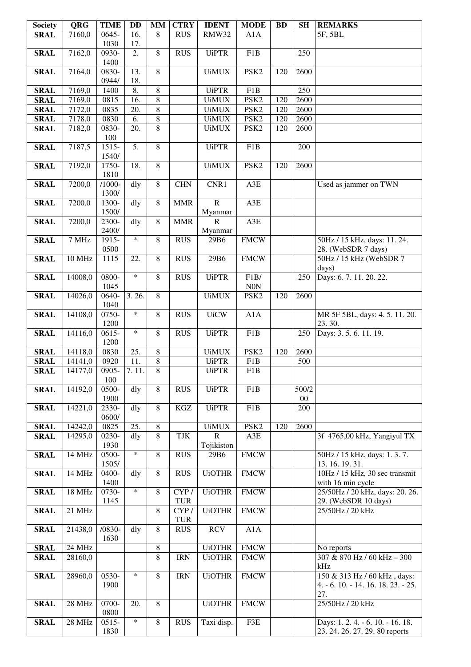| <b>Society</b> | <b>QRG</b>            | <b>TIME</b>       | <b>DD</b>  | <b>MM</b>      | <b>CTRY</b> | <b>IDENT</b>  | <b>MODE</b>      | <b>BD</b> | <b>SH</b> | <b>REMARKS</b>                                       |
|----------------|-----------------------|-------------------|------------|----------------|-------------|---------------|------------------|-----------|-----------|------------------------------------------------------|
| <b>SRAL</b>    | 7160,0                | 0645-             | 16.        | $\overline{8}$ | <b>RUS</b>  | RMW32         | A1A              |           |           | 5F, 5BL                                              |
|                |                       | 1030              | 17.        |                |             |               |                  |           |           |                                                      |
| <b>SRAL</b>    | 7162,0                | 0930-             | 2.         | $\overline{8}$ | <b>RUS</b>  | <b>UiPTR</b>  | F1B              |           | 250       |                                                      |
|                |                       | 1400              |            | $\overline{8}$ |             |               |                  |           |           |                                                      |
| <b>SRAL</b>    | 7164,0                | 0830-<br>0944/    | 13.<br>18. |                |             | <b>UiMUX</b>  | PSK <sub>2</sub> | 120       | 2600      |                                                      |
| <b>SRAL</b>    | 7169,0                | 1400              | 8.         | $\overline{8}$ |             | <b>UiPTR</b>  | F1B              |           | 250       |                                                      |
| <b>SRAL</b>    | 7169,0                | 0815              | 16.        | $\overline{8}$ |             | <b>UiMUX</b>  | PSK <sub>2</sub> | 120       | 2600      |                                                      |
| <b>SRAL</b>    | 7172,0                | 0835              | 20.        | $\overline{8}$ |             | <b>UiMUX</b>  | PSK <sub>2</sub> | 120       | 2600      |                                                      |
| <b>SRAL</b>    | 7178,0                | 0830              | 6.         | $\overline{8}$ |             | <b>UiMUX</b>  | PSK <sub>2</sub> | 120       | 2600      |                                                      |
| <b>SRAL</b>    | 7182,0                | 0830-             | 20.        | $\overline{8}$ |             | <b>UiMUX</b>  | PSK <sub>2</sub> | 120       | 2600      |                                                      |
|                |                       | 100               |            |                |             |               |                  |           |           |                                                      |
| <b>SRAL</b>    | 7187,5                | $1515 -$          | 5.         | $\overline{8}$ |             | <b>UiPTR</b>  | F1B              |           | 200       |                                                      |
|                |                       | 1540/             |            |                |             |               |                  |           |           |                                                      |
| <b>SRAL</b>    | 7192,0                | 1750-             | 18.        | 8              |             | <b>UiMUX</b>  | PSK <sub>2</sub> | 120       | 2600      |                                                      |
| <b>SRAL</b>    | 7200,0                | 1810<br>$/1000 -$ | dly        | $\overline{8}$ | <b>CHN</b>  | CNR1          | A3E              |           |           | Used as jammer on TWN                                |
|                |                       | 1300/             |            |                |             |               |                  |           |           |                                                      |
| <b>SRAL</b>    | 7200,0                | 1300-             | dly        | 8              | <b>MMR</b>  | ${\bf R}$     | A3E              |           |           |                                                      |
|                |                       | 1500/             |            |                |             | Myanmar       |                  |           |           |                                                      |
| <b>SRAL</b>    | 7200,0                | 2300-             | dly        | 8              | <b>MMR</b>  | $\mathbf R$   | A3E              |           |           |                                                      |
|                |                       | 2400/             |            |                |             | Myanmar       |                  |           |           |                                                      |
| <b>SRAL</b>    | 7 MHz                 | 1915-             | $\ast$     | 8              | <b>RUS</b>  | 29B6          | <b>FMCW</b>      |           |           | 50Hz / 15 kHz, days: 11. 24.                         |
|                |                       | 0500              |            |                |             |               |                  |           |           | 28. (WebSDR 7 days)                                  |
| <b>SRAL</b>    | 10 MHz                | 1115              | 22.        | 8              | <b>RUS</b>  | 29B6          | <b>FMCW</b>      |           |           | 50Hz / 15 kHz (WebSDR 7                              |
| <b>SRAL</b>    | 14008,0               | 0800-             | $\ast$     | 8              | <b>RUS</b>  | <b>UiPTR</b>  | F1B/             |           | 250       | days)<br>Days: 6.7.11.20.22.                         |
|                |                       | 1045              |            |                |             |               | <b>N0N</b>       |           |           |                                                      |
| <b>SRAL</b>    | 14026,0               | 0640-             | 3.26.      | $\overline{8}$ |             | <b>UiMUX</b>  | PSK <sub>2</sub> | 120       | 2600      |                                                      |
|                |                       | 1040              |            |                |             |               |                  |           |           |                                                      |
| <b>SRAL</b>    | 14108,0               | 0750-             | $\ast$     | 8              | <b>RUS</b>  | <b>UiCW</b>   | A1A              |           |           | MR 5F 5BL, days: 4.5.11.20.                          |
|                |                       | 1200              |            |                |             |               |                  |           |           | 23.30.                                               |
| <b>SRAL</b>    | 14116,0               | $0615 -$          | $\ast$     | 8              | <b>RUS</b>  | <b>UiPTR</b>  | F1B              |           | 250       | Days: 3.5.6.11.19.                                   |
| <b>SRAL</b>    | 14118,0               | 1200<br>0830      | 25.        | 8              |             | <b>UiMUX</b>  | PSK <sub>2</sub> | 120       | 2600      |                                                      |
| <b>SRAL</b>    | 14141,0               | 0920              | 11.        | 8              |             | <b>UiPTR</b>  | F1B              |           | 500       |                                                      |
| <b>SRAL</b>    | 14177,0               | 0905-             | 7.11.      | $\overline{8}$ |             | <b>UiPTR</b>  | F1B              |           |           |                                                      |
|                |                       | 100               |            |                |             |               |                  |           |           |                                                      |
| <b>SRAL</b>    | 14192,0               | 0500-             | dly        | $\overline{8}$ | <b>RUS</b>  | <b>UiPTR</b>  | F1B              |           | 500/2     |                                                      |
|                |                       | 1900              |            |                |             |               |                  |           | $00\,$    |                                                      |
| <b>SRAL</b>    | 14221,0               | 2330-<br>0600/    | dly        | 8              | $\rm KGZ$   | <b>UiPTR</b>  | F1B              |           | 200       |                                                      |
| <b>SRAL</b>    | $\overline{1}$ 4242,0 | 0825              | 25.        | $\,8\,$        |             | <b>UiMUX</b>  | PSK <sub>2</sub> | 120       | 2600      |                                                      |
| <b>SRAL</b>    | 14295,0               | 0230-             | dly        | $\overline{8}$ | TJK         | $\mathbf R$   | A3E              |           |           | 3f 4765,00 kHz, Yangiyul TX                          |
|                |                       | 1930              |            |                |             | Tojikiston    |                  |           |           |                                                      |
| <b>SRAL</b>    | 14 MHz                | 0500-             | $\ast$     | 8              | <b>RUS</b>  | 29B6          | <b>FMCW</b>      |           |           | 50Hz / 15 kHz, days: 1.3.7.                          |
|                |                       | 1505/             |            |                |             |               |                  |           |           | 13.16.19.31.                                         |
| <b>SRAL</b>    | 14 MHz                | 0400-             | dly        | 8              | <b>RUS</b>  | <b>UiOTHR</b> | <b>FMCW</b>      |           |           | 10Hz / 15 kHz, 30 sec transmit                       |
| <b>SRAL</b>    | 18 MHz                | 1400<br>0730-     | $\ast$     | 8              | CYP/        | <b>UiOTHR</b> | <b>FMCW</b>      |           |           | with 16 min cycle<br>25/50Hz / 20 kHz, days: 20. 26. |
|                |                       | 1145              |            |                | <b>TUR</b>  |               |                  |           |           | 29. (WebSDR 10 days)                                 |
| <b>SRAL</b>    | 21 MHz                |                   |            | 8              | CYP/        | <b>UiOTHR</b> | <b>FMCW</b>      |           |           | 25/50Hz / 20 kHz                                     |
|                |                       |                   |            |                | <b>TUR</b>  |               |                  |           |           |                                                      |
| <b>SRAL</b>    | 21438,0               | $/0830-$          | dly        | 8              | <b>RUS</b>  | <b>RCV</b>    | A1A              |           |           |                                                      |
|                |                       | 1630              |            |                |             |               |                  |           |           |                                                      |
| <b>SRAL</b>    | $24 \overline{MHz}$   |                   |            | 8              |             | <b>UiOTHR</b> | <b>FMCW</b>      |           |           | No reports                                           |
| <b>SRAL</b>    | 28160,0               |                   |            | $\overline{8}$ | <b>IRN</b>  | <b>UiOTHR</b> | <b>FMCW</b>      |           |           | 307 & 870 Hz / 60 kHz - 300<br>kHz                   |
| <b>SRAL</b>    | 28960,0               | 0530-             | $\ast$     | 8              | <b>IRN</b>  | <b>UiOTHR</b> | <b>FMCW</b>      |           |           | 150 & 313 Hz / 60 kHz, days:                         |
|                |                       | 1900              |            |                |             |               |                  |           |           | 4. - 6. 10. - 14. 16. 18. 23. - 25.                  |
|                |                       |                   |            |                |             |               |                  |           |           | 27.                                                  |
| <b>SRAL</b>    | 28 MHz                | 0700-             | 20.        | 8              |             | <b>UiOTHR</b> | <b>FMCW</b>      |           |           | 25/50Hz / 20 kHz                                     |
|                |                       | 0800              |            |                |             |               |                  |           |           |                                                      |
| <b>SRAL</b>    | 28 MHz                | $0515 -$          | $\ast$     | 8              | <b>RUS</b>  | Taxi disp.    | F3E              |           |           | Days: 1.2.4. - 6.10. - 16.18.                        |
|                |                       | 1830              |            |                |             |               |                  |           |           | 23. 24. 26. 27. 29. 80 reports                       |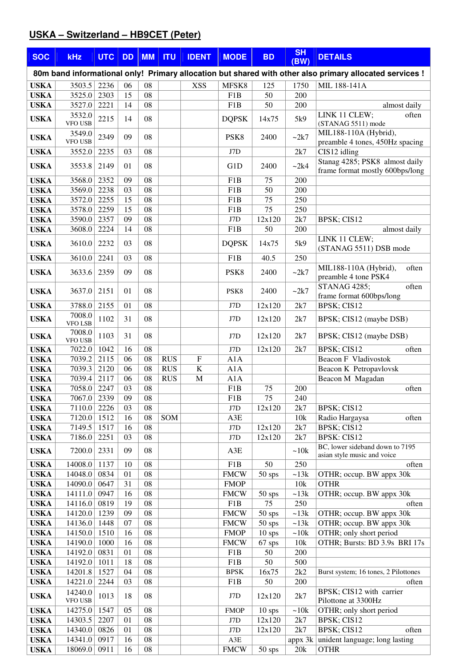# **USKA – Switzerland – HB9CET (Peter)**

| <b>SOC</b>                 | <b>kHz</b>               | <b>UTC</b>        | <b>DD</b> | <b>MM</b> | <b>ITU</b>               | <b>IDENT</b>           | <b>MODE</b>                     | <b>BD</b>    | <b>SH</b><br>(BW) | <b>DETAILS</b>                                                                                          |
|----------------------------|--------------------------|-------------------|-----------|-----------|--------------------------|------------------------|---------------------------------|--------------|-------------------|---------------------------------------------------------------------------------------------------------|
|                            |                          |                   |           |           |                          |                        |                                 |              |                   | 80m band informational only! Primary allocation but shared with other also primary allocated services ! |
| <b>USKA</b>                | 3503.5                   | 2236              | 06        | 08        |                          | <b>XSS</b>             | MFSK8                           | 125          | 1750              | MIL 188-141A                                                                                            |
| <b>USKA</b>                | 3525.0                   | 2303              | 15        | 08        |                          |                        | F <sub>1</sub> B                | 50           | 200               |                                                                                                         |
| <b>USKA</b>                | 3527.0                   | 2221              | 14        | 08        |                          |                        | F <sub>1</sub> B                | 50           | 200               | almost daily                                                                                            |
| <b>USKA</b>                | 3532.0<br><b>VFO USB</b> | 2215              | 14        | 08        |                          |                        | <b>DQPSK</b>                    | 14x75        | 5k9               | LINK 11 CLEW;<br>often<br>(STANAG 5511) mode                                                            |
| <b>USKA</b>                | 3549.0<br><b>VFO USB</b> | 2349              | 09        | 08        |                          |                        | PSK <sub>8</sub>                | 2400         | ~2k7              | MIL188-110A (Hybrid),<br>preamble 4 tones, 450Hz spacing                                                |
| <b>USKA</b>                | 3552.0                   | 2235              | 03        | 08        |                          |                        | J7D                             |              | 2k7               | CIS12 idling                                                                                            |
| <b>USKA</b>                | 3553.8                   | 2149              | 01        | 08        |                          |                        | G1D                             | 2400         | ~2k4              | Stanag 4285; PSK8 almost daily<br>frame format mostly 600bps/long                                       |
| <b>USKA</b>                | 3568.0                   | 2352              | 09        | 08        |                          |                        | F <sub>1</sub> B                | 75           | 200               |                                                                                                         |
| <b>USKA</b>                | 3569.0                   | 2238              | 03        | 08        |                          |                        | F1B                             | 50           | 200               |                                                                                                         |
| <b>USKA</b>                | 3572.0                   | 2255              | 15        | 08        |                          |                        | F <sub>1</sub> B                | 75           | 250               |                                                                                                         |
| <b>USKA</b><br><b>USKA</b> | 3578.0<br>3590.0         | 2259<br>2357      | 15<br>09  | 08<br>08  |                          |                        | F <sub>1</sub> B<br>J7D         | 75<br>12x120 | 250<br>2k7        | BPSK; CIS12                                                                                             |
| <b>USKA</b>                | 3608.0                   | 2224              | 14        | 08        |                          |                        | F1B                             | 50           | 200               | almost daily                                                                                            |
|                            |                          | 2232              | 03        | 08        |                          |                        | <b>DOPSK</b>                    |              | 5k9               | LINK 11 CLEW;                                                                                           |
| <b>USKA</b>                | 3610.0                   |                   |           |           |                          |                        |                                 | 14x75        |                   | (STANAG 5511) DSB mode                                                                                  |
| <b>USKA</b>                | 3610.0                   | 2241              | 03        | 08        |                          |                        | F1B                             | 40.5         | 250               |                                                                                                         |
| <b>USKA</b>                | 3633.6                   | 2359              | 09        | 08        |                          |                        | PSK8                            | 2400         | $-2k7$            | MIL188-110A (Hybrid),<br>often<br>preamble 4 tone PSK4                                                  |
| <b>USKA</b>                | 3637.0                   | 2151              | 01        | 08        |                          |                        | PSK8                            | 2400         | ~2k7              | <b>STANAG 4285;</b><br>often<br>frame format 600bps/long                                                |
| <b>USKA</b>                | 3788.0                   | 2155              | 01        | 08        |                          |                        | J7D                             | 12x120       | 2k7               | BPSK; CIS12                                                                                             |
| <b>USKA</b>                | 7008.0<br><b>VFO LSB</b> | 1102              | 31        | 08        |                          |                        | J7D                             | 12x120       | 2k7               | BPSK; CIS12 (maybe DSB)                                                                                 |
| <b>USKA</b>                | 7008.0<br>VFO USB        | 1103              | 31        | 08        |                          |                        | J7D                             | 12x120       | 2k7               | BPSK; CIS12 (maybe DSB)                                                                                 |
| <b>USKA</b>                | 7022.0                   | 1042              | 16        | 08        |                          |                        | J7D                             | 12x120       | 2k7               | BPSK; CIS12<br>often                                                                                    |
| <b>USKA</b>                | 7039.2                   | 2115              | 06<br>06  | 08        | <b>RUS</b>               | $\mathbf F$            | A1A                             |              |                   | <b>Beacon F Vladivostok</b>                                                                             |
| <b>USKA</b><br><b>USKA</b> | 7039.3<br>7039.4         | 2120<br>2117      | 06        | 08<br>08  | <b>RUS</b><br><b>RUS</b> | $\bf K$<br>$\mathbf M$ | A1A<br>A1A                      |              |                   | Beacon K Petropavlovsk<br>Beacon M Magadan                                                              |
| <b>USKA</b>                | 7058.0                   | 2247              | 03        | 08        |                          |                        | F1B                             | 75           | 200               | often                                                                                                   |
| <b>USKA</b>                | 7067.0                   | 2339              | 09        | 08        |                          |                        | F <sub>1</sub> B                | 75           | 240               |                                                                                                         |
| <b>USKA</b>                | 7110.0 2226              |                   | 03        | 08        |                          |                        | $\rm J7D$                       | 12x120       | 2k7               | BPSK; CIS12                                                                                             |
| <b>USKA</b>                | 7120.0                   | $151\overline{2}$ | 16        | 08        | SOM                      |                        | A3E                             |              | 10k               | Radio Hargaysa<br>often                                                                                 |
| <b>USKA</b>                | 7149.5                   | 1517              | 16        | 08        |                          |                        | J7D                             | 12x120       | 2k7               | BPSK; CIS12                                                                                             |
| <b>USKA</b>                | 7186.0                   | 2251              | 03        | 08        |                          |                        | J7D                             | 12x120       | 2k7               | <b>BPSK: CIS12</b><br>BC, lower sideband down to 7195                                                   |
| <b>USKA</b>                | 7200.0                   | 2331              | 09        | 08        |                          |                        | A3E                             |              | ~10k              | asian style music and voice                                                                             |
| <b>USKA</b><br><b>USKA</b> | 14008.0<br>14048.0       | 1137<br>0834      | 10<br>01  | 08<br>08  |                          |                        | F <sub>1</sub> B<br><b>FMCW</b> | 50<br>50 sps | 250<br>~13k       | often<br>OTHR; occup. BW appx 30k                                                                       |
| <b>USKA</b>                | 14090.0                  | 0647              | 31        | 08        |                          |                        | <b>FMOP</b>                     |              | 10k               | <b>OTHR</b>                                                                                             |
| <b>USKA</b>                | 14111.0                  | 0947              | 16        | 08        |                          |                        | <b>FMCW</b>                     | 50 sps       | ~13k              | OTHR; occup. BW appx 30k                                                                                |
| <b>USKA</b>                | 14116.0                  | 0819              | 19        | 08        |                          |                        | F1B                             | 75           | 250               | often                                                                                                   |
| <b>USKA</b>                | 14120.0                  | 1239              | 09        | 08        |                          |                        | <b>FMCW</b>                     | 50 sps       | ~13k              | OTHR; occup. BW appx 30k                                                                                |
| <b>USKA</b>                | 14136.0                  | 1448              | 07        | 08        |                          |                        | <b>FMCW</b>                     | 50 sps       | ~13k              | OTHR; occup. BW appx 30k                                                                                |
| <b>USKA</b>                | 14150.0                  | 1510              | 16        | 08        |                          |                        | <b>FMOP</b>                     | $10$ sps     | ~10k              | OTHR; only short period                                                                                 |
| <b>USKA</b>                | 14190.0                  | 1000              | 16        | 08        |                          |                        | <b>FMCW</b>                     | 67 sps       | 10k               | OTHR; Bursts: BD 3.9s BRI 17s                                                                           |
| <b>USKA</b>                | 14192.0                  | 0831<br>1011      | 01<br>18  | 08<br>08  |                          |                        | F1B<br>F1B                      | 50<br>50     | 200<br>500        |                                                                                                         |
| <b>USKA</b><br><b>USKA</b> | 14192.0<br>14201.8       | 1527              | 04        | 08        |                          |                        | <b>BPSK</b>                     | 16x75        | 2k2               | Burst system; 16 tones, 2 Pilottones                                                                    |
| <b>USKA</b>                | 14221.0                  | 2244              | 03        | 08        |                          |                        | F1B                             | 50           | 200               | often                                                                                                   |
|                            | 14240.0                  |                   |           | 08        |                          |                        |                                 |              |                   | BPSK; CIS12 with carrier                                                                                |
| <b>USKA</b>                | VFO USB                  | 1013              | 18        |           |                          |                        | J7D                             | 12x120       | 2k7               | Pilottone at 3300Hz                                                                                     |
| <b>USKA</b>                | 14275.0                  | 1547              | 05        | 08        |                          |                        | <b>FMOP</b>                     | $10$ sps     | ~10k              | OTHR; only short period                                                                                 |
| <b>USKA</b>                | 14303.5                  | 2207              | 01        | 08        |                          |                        | $\rm J7D$                       | 12x120       | 2k7               | BPSK; CIS12                                                                                             |
| <b>USKA</b>                | 14340.0<br>14341.0       | 0826<br>0917      | 01<br>16  | 08<br>08  |                          |                        | $\rm J7D$<br>A3E                | 12x120       | 2k7<br>appx 3k    | BPSK; CIS12<br>often<br>unident language; long lasting                                                  |
| <b>USKA</b><br><b>USKA</b> | 18069.0                  | 0911              | 16        | 08        |                          |                        | <b>FMCW</b>                     | $50$ sps     | 20k               | <b>OTHR</b>                                                                                             |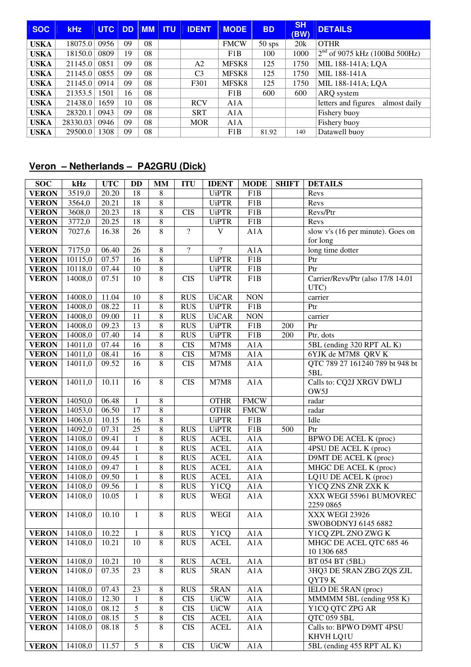| <b>SOC</b>  | <b>kHz</b> | <b>UTC</b> | <b>DD</b> | MM | <b>ITU</b> | <b>IDENT</b>   | <b>MODE</b> | <b>BD</b> | <b>SH</b><br>(BW) | <b>DETAILS</b>                      |
|-------------|------------|------------|-----------|----|------------|----------------|-------------|-----------|-------------------|-------------------------------------|
| <b>USKA</b> | 18075.0    | 0956       | 09        | 08 |            |                | <b>FMCW</b> | $50$ sps  | 20k               | <b>OTHR</b>                         |
| <b>USKA</b> | 18150.0    | 0809       | 19        | 08 |            |                | F1B         | 100       | 1000              | $2nd$ of 9075 kHz (100Bd 500Hz)     |
| <b>USKA</b> | 21145.0    | 0851       | 09        | 08 |            | A2             | MFSK8       | 125       | 1750              | MIL 188-141A; LQA                   |
| USKA        | 21145.0    | 0855       | 09        | 08 |            | C <sub>3</sub> | MFSK8       | 125       | 1750              | MIL 188-141A                        |
| <b>USKA</b> | 21145.0    | 0914       | 09        | 08 |            | F301           | MFSK8       | 125       | 1750              | MIL 188-141A; LQA                   |
| <b>USKA</b> | 21353.5    | 1501       | 16        | 08 |            |                | F1B         | 600       | 600               | ARQ system                          |
| USKA        | 21438.0    | 1659       | 10        | 08 |            | <b>RCV</b>     | A1A         |           |                   | letters and figures<br>almost daily |
| USKA        | 28320.1    | 0943       | 09        | 08 |            | <b>SRT</b>     | A1A         |           |                   | Fishery buoy                        |
| <b>USKA</b> | 28330.03   | 0946       | 09        | 08 |            | <b>MOR</b>     | A1A         |           |                   | Fishery buoy                        |
| <b>USKA</b> | 29500.0    | 1308       | 09        | 08 |            |                | F1B         | 81.92     | 140               | Datawell buoy                       |

## **Veron – Netherlands – PA2GRU (Dick)**

| <b>SOC</b>                 | kHz     | <b>UTC</b> | <b>DD</b>      | <b>MM</b>      | <b>ITU</b>     | <b>IDENT</b>      | <b>MODE</b> | <b>SHIFT</b> | <b>DETAILS</b>                              |
|----------------------------|---------|------------|----------------|----------------|----------------|-------------------|-------------|--------------|---------------------------------------------|
| <b>VERON</b>               | 3519,0  | 20.20      | 18             | 8              |                | <b>UiPTR</b>      | F1B         |              | Revs                                        |
| <b>VERON</b>               | 3564,0  | 20.21      | 18             | 8              |                | <b>UiPTR</b>      | F1B         |              | Revs                                        |
| <b>VERON</b>               | 3608,0  | 20.23      | 18             | 8              | <b>CIS</b>     | <b>UiPTR</b>      | F1B         |              | Revs/Ptr                                    |
| <b>VERON</b>               | 3772,0  | 20.25      | 18             | $\,8$          |                | <b>UiPTR</b>      | F1B         |              | Revs                                        |
| <b>VERON</b>               | 7027,6  | 16.38      | 26             | $8\,$          | $\overline{?}$ | V                 | A1A         |              | slow v's (16 per minute). Goes on           |
|                            |         |            |                |                |                |                   |             |              | for long                                    |
| <b>VERON</b>               | 7175,0  | 06.40      | 26             | 8              | $\overline{?}$ | $\overline{?}$    | A1A         |              | long time dotter                            |
| <b>VERON</b>               | 10115,0 | 07.57      | 16             | $8\,$          |                | <b>UiPTR</b>      | F1B         |              | Ptr                                         |
| <b>VERON</b>               | 10118,0 | 07.44      | 10             | $\,$ 8 $\,$    |                | <b>UiPTR</b>      | F1B         |              | Ptr                                         |
| <b>VERON</b>               | 14008,0 | 07.51      | 10             | $\overline{8}$ | <b>CIS</b>     | <b>UiPTR</b>      | F1B         |              | Carrier/Revs/Ptr (also 17/8 14.01           |
|                            |         |            |                |                |                |                   |             |              | UTC)                                        |
| <b>VERON</b>               | 14008,0 | 11.04      | 10             | 8              | <b>RUS</b>     | <b>UiCAR</b>      | <b>NON</b>  |              | carrier                                     |
| <b>VERON</b>               | 14008,0 | 08.22      | 11             | 8              | <b>RUS</b>     | <b>UiPTR</b>      | F1B         |              | Ptr                                         |
| <b>VERON</b>               | 14008,0 | 09.00      | 11             | 8              | <b>RUS</b>     | <b>UiCAR</b>      | <b>NON</b>  |              | carrier                                     |
| <b>VERON</b>               | 14008,0 | 09.23      | 13             | 8              | <b>RUS</b>     | <b>UiPTR</b>      | F1B         | 200          | Ptr                                         |
| <b>VERON</b>               | 14008,0 | 07.40      | 14             | 8              | <b>RUS</b>     | <b>UiPTR</b>      | F1B         | 200          | Ptr, dots                                   |
| <b>VERON</b>               | 14011,0 | 07.44      | 16             | 8              | <b>CIS</b>     | $\rm M7M8$        | A1A         |              | 5BL (ending 320 RPT AL K)                   |
| <b>VERON</b>               | 14011,0 | 08.41      | 16             | $\,8$          | <b>CIS</b>     | M7M8              | A1A         |              | 6YJK de M7M8 QRV K                          |
| <b>VERON</b>               | 14011,0 | 09.52      | 16             | 8              | <b>CIS</b>     | M7M8              | A1A         |              | QTC 789 27 161240 789 bt 948 bt<br>5BL      |
| <b>VERON</b>               | 14011,0 | 10.11      | 16             | $\overline{8}$ | <b>CIS</b>     | M7M8              | A1A         |              | Calls to: CQ2J XRGV DWLJ                    |
|                            |         |            |                |                |                |                   |             |              | OW5J                                        |
| <b>VERON</b>               | 14050,0 | 06.48      | $\mathbf{1}$   | $8\,$          |                | <b>OTHR</b>       | <b>FMCW</b> |              | radar                                       |
| <b>VERON</b>               | 14053,0 | 06.50      | 17             | 8              |                | <b>OTHR</b>       | <b>FMCW</b> |              | radar                                       |
| <b>VERON</b>               | 14063,0 | 10.15      | 16             | 8              |                | <b>UiPTR</b>      | F1B         |              | Idle                                        |
| <b>VERON</b>               | 14092,0 | 07.31      | 25             | 8              | <b>RUS</b>     | <b>UiPTR</b>      | F1B         | 500          | Ptr                                         |
| <b>VERON</b>               | 14108,0 | 09.41      | $\mathbf{1}$   | 8              | <b>RUS</b>     | <b>ACEL</b>       | A1A         |              | BPWO DE ACEL K (proc)                       |
| <b>VERON</b>               | 14108,0 | 09.44      | $\mathbf{1}$   | 8              | <b>RUS</b>     | <b>ACEL</b>       | A1A         |              | 4PSU DE ACEL K (proc)                       |
| <b>VERON</b>               | 14108,0 | 09.45      | $\mathbf{1}$   | 8              | <b>RUS</b>     | <b>ACEL</b>       | A1A         |              | D9MT DE ACEL K (proc)                       |
| <b>VERON</b>               | 14108,0 | 09.47      | $\mathbf{1}$   | 8              | <b>RUS</b>     | <b>ACEL</b>       | A1A         |              | MHGC DE ACEL K (proc)                       |
| <b>VERON</b>               | 14108,0 | 09.50      | $\mathbf{1}$   | 8              | <b>RUS</b>     | <b>ACEL</b>       | A1A         |              | LQ1U DE ACEL K (proc)                       |
| <b>VERON</b>               | 14108,0 | 09.56      | $\,1$          | $\,$ 8 $\,$    | <b>RUS</b>     | Y1CQ              | A1A         |              | Y1CQ ZNS ZNR ZXK K                          |
| <b>VERON</b>               | 14108,0 | 10.05      | $\mathbf{1}$   | 8              | <b>RUS</b>     | <b>WEGI</b>       | A1A         |              | XXX WEGI 55961 BUMOVREC                     |
|                            |         |            |                |                |                |                   |             |              | 2259 0865                                   |
| <b>VERON</b>               | 14108,0 | 10.10      | 1              | 8              | <b>RUS</b>     | <b>WEGI</b>       | A1A         |              | XXX WEGI 23926                              |
|                            |         |            |                |                |                |                   |             |              | SWOBODNYJ 6145 6882                         |
| <b>VERON</b> 14108,0 10.22 |         |            | $\overline{1}$ | $\overline{8}$ | <b>RUS</b>     | Y <sub>1</sub> CQ | A1A         |              | Y1CQ ZPL ZNO ZWG K                          |
| <b>VERON</b>               | 14108,0 | 10.21      | 10             | $\overline{8}$ | <b>RUS</b>     | <b>ACEL</b>       | A1A         |              | MHGC DE ACEL QTC 685 46                     |
|                            | 14108,0 | 10.21      | 10             | $\,8\,$        | <b>RUS</b>     | <b>ACEL</b>       | A1A         |              | 10 1306 685                                 |
| <b>VERON</b>               | 14108,0 | 07.35      | 23             | $\overline{8}$ | <b>RUS</b>     | 5RAN              | A1A         |              | BT 054 BT (5BL)<br>3HQ3 DE 5RAN ZBG ZQS ZJL |
| <b>VERON</b>               |         |            |                |                |                |                   |             |              | QYT9K                                       |
| <b>VERON</b>               | 14108,0 | 07.43      | 23             | 8              | <b>RUS</b>     | 5RAN              | A1A         |              | IELO DE 5RAN (proc)                         |
| <b>VERON</b>               | 14108,0 | 12.30      | 1              | 8              | $\rm CIS$      | <b>UiCW</b>       | A1A         |              | MMMMM 5BL (ending 958 K)                    |
| <b>VERON</b>               | 14108,0 | 08.12      | 5              | 8              | <b>CIS</b>     | <b>UiCW</b>       | A1A         |              | Y1CQ QTC ZPG AR                             |
| <b>VERON</b>               | 14108,0 | 08.15      | 5              | 8              | <b>CIS</b>     | <b>ACEL</b>       | A1A         |              | QTC 059 5BL                                 |
| <b>VERON</b>               | 14108,0 | 08.18      | 5              | 8              | <b>CIS</b>     | <b>ACEL</b>       | A1A         |              | Calls to: BPWO D9MT 4PSU                    |
|                            |         |            |                |                |                |                   |             |              | KHVH LQ1U                                   |
| <b>VERON</b>               | 14108,0 | 11.57      | $\overline{5}$ | $\overline{8}$ | <b>CIS</b>     | <b>UiCW</b>       | A1A         |              | 5BL (ending 455 RPT AL K)                   |